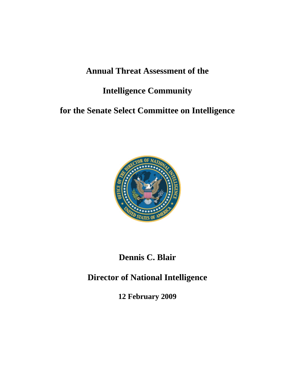# **Annual Threat Assessment of the**

## **Intelligence Community**

# **for the Senate Select Committee on Intelligence**



# **Dennis C. Blair**

# **Director of National Intelligence**

**12 February 2009**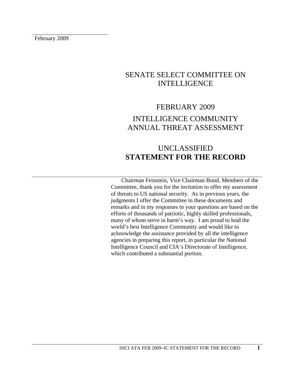February 2009

### SENATE SELECT COMMITTEE ON INTELLIGENCE

## FEBRUARY 2009 INTELLIGENCE COMMUNITY ANNUAL THREAT ASSESSMENT

### UNCLASSIFIED **STATEMENT FOR THE RECORD**

Chairman Feinstein, Vice Chairman Bond, Members of the Committee, thank you for the invitation to offer my assessment of threats to US national security. As in previous years, the judgments I offer the Committee in these documents and remarks and in my responses to your questions are based on the efforts of thousands of patriotic, highly skilled professionals, many of whom serve in harm's way. I am proud to lead the world's best Intelligence Community and would like to acknowledge the assistance provided by all the intelligence agencies in preparing this report, in particular the National Intelligence Council and CIA's Directorate of Intelligence, which contributed a substantial portion.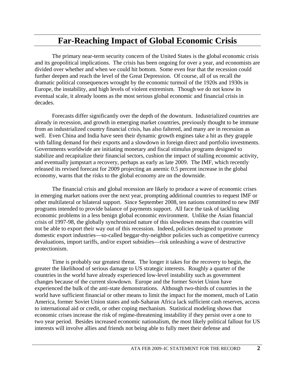# **Far-Reaching Impact of Global Economic Crisis**

The primary near-term security concern of the United States is the global economic crisis and its geopolitical implications. The crisis has been ongoing for over a year, and economists are divided over whether and when we could hit bottom. Some even fear that the recession could further deepen and reach the level of the Great Depression. Of course, all of us recall the dramatic political consequences wrought by the economic turmoil of the 1920s and 1930s in Europe, the instability, and high levels of violent extremism. Though we do not know its eventual scale, it already looms as the most serious global economic and financial crisis in decades.

Forecasts differ significantly over the depth of the downturn. Industrialized countries are already in recession, and growth in emerging market countries, previously thought to be immune from an industrialized country financial crisis, has also faltered, and many are in recession as well. Even China and India have seen their dynamic growth engines take a hit as they grapple with falling demand for their exports and a slowdown in foreign direct and portfolio investments. Governments worldwide are initiating monetary and fiscal stimulus programs designed to stabilize and recapitalize their financial sectors, cushion the impact of stalling economic activity, and eventually jumpstart a recovery, perhaps as early as late 2009. The IMF, which recently released its revised forecast for 2009 projecting an anemic 0.5 percent increase in the global economy, warns that the risks to the global economy are on the downside.

The financial crisis and global recession are likely to produce a wave of economic crises in emerging market nations over the next year, prompting additional countries to request IMF or other multilateral or bilateral support. Since September 2008, ten nations committed to new IMF programs intended to provide balance of payments support. All face the task of tackling economic problems in a less benign global economic environment. Unlike the Asian financial crisis of 1997-98, the globally synchronized nature of this slowdown means that countries will not be able to export their way out of this recession. Indeed, policies designed to promote domestic export industries—so-called beggar-thy-neighbor policies such as competitive currency devaluations, import tariffs, and/or export subsidies—risk unleashing a wave of destructive protectionism.

 Time is probably our greatest threat. The longer it takes for the recovery to begin, the greater the likelihood of serious damage to US strategic interests. Roughly a quarter of the countries in the world have already experienced low-level instability such as government changes because of the current slowdown. Europe and the former Soviet Union have experienced the bulk of the anti-state demonstrations. Although two-thirds of countries in the world have sufficient financial or other means to limit the impact for the moment, much of Latin America, former Soviet Union states and sub-Saharan Africa lack sufficient cash reserves, access to international aid or credit, or other coping mechanism. Statistical modeling shows that economic crises increase the risk of regime-threatening instability if they persist over a one to two year period. Besides increased economic nationalism, the most likely political fallout for US interests will involve allies and friends not being able to fully meet their defense and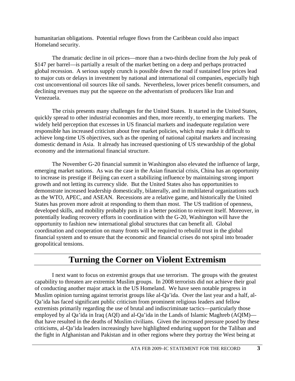humanitarian obligations. Potential refugee flows from the Caribbean could also impact Homeland security.

The dramatic decline in oil prices—more than a two-thirds decline from the July peak of \$147 per barrel—is partially a result of the market betting on a deep and perhaps protracted global recession. A serious supply crunch is possible down the road if sustained low prices lead to major cuts or delays in investment by national and international oil companies, especially high cost unconventional oil sources like oil sands. Nevertheless, lower prices benefit consumers, and declining revenues may put the squeeze on the adventurism of producers like Iran and Venezuela.

The crisis presents many challenges for the United States. It started in the United States, quickly spread to other industrial economies and then, more recently, to emerging markets. The widely held perception that excesses in US financial markets and inadequate regulation were responsible has increased criticism about free market policies, which may make it difficult to achieve long-time US objectives, such as the opening of national capital markets and increasing domestic demand in Asia. It already has increased questioning of US stewardship of the global economy and the international financial structure.

The November G-20 financial summit in Washington also elevated the influence of large, emerging market nations. As was the case in the Asian financial crisis, China has an opportunity to increase its prestige if Beijing can exert a stabilizing influence by maintaining strong import growth and not letting its currency slide. But the United States also has opportunities to demonstrate increased leadership domestically, bilaterally, and in multilateral organizations such as the WTO, APEC, and ASEAN. Recessions are a relative game, and historically the United States has proven more adroit at responding to them than most. The US tradition of openness, developed skills, and mobility probably puts it in a better position to reinvent itself. Moreover, in potentially leading recovery efforts in coordination with the G-20, Washington will have the opportunity to fashion new international global structures that can benefit all. Global coordination and cooperation on many fronts will be required to rebuild trust in the global financial system and to ensure that the economic and financial crises do not spiral into broader geopolitical tensions.

# **Turning the Corner on Violent Extremism**

I next want to focus on extremist groups that use terrorism. The groups with the greatest capability to threaten are extremist Muslim groups. In 2008 terrorists did not achieve their goal of conducting another major attack in the US Homeland. We have seen notable progress in Muslim opinion turning against terrorist groups like al-Qa'ida. Over the last year and a half, al-Qa'ida has faced significant public criticism from prominent religious leaders and fellow extremists primarily regarding the use of brutal and indiscriminate tactics—particularly those employed by al Qa'ida in Iraq (AQI) and al-Qa'ida in the Lands of Islamic Maghreb (AQIM) that have resulted in the deaths of Muslim civilians. Given the increased pressure posed by these criticisms, al-Qa'ida leaders increasingly have highlighted enduring support for the Taliban and the fight in Afghanistan and Pakistan and in other regions where they portray the West being at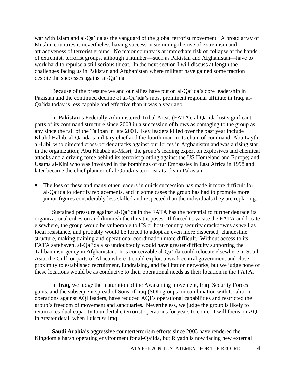war with Islam and al-Qa'ida as the vanguard of the global terrorist movement. A broad array of Muslim countries is nevertheless having success in stemming the rise of extremism and attractiveness of terrorist groups. No major country is at immediate risk of collapse at the hands of extremist, terrorist groups, although a number—such as Pakistan and Afghanistan—have to work hard to repulse a still serious threat. In the next section I will discuss at length the challenges facing us in Pakistan and Afghanistan where militant have gained some traction despite the successes against al-Qa'ida.

Because of the pressure we and our allies have put on al-Qa'ida's core leadership in Pakistan and the continued decline of al-Qa'ida's most prominent regional affiliate in Iraq, al-Qa'ida today is less capable and effective than it was a year ago.

In **Pakistan**'s Federally Administered Tribal Areas (FATA), al-Qa'ida lost significant parts of its command structure since 2008 in a succession of blows as damaging to the group as any since the fall of the Taliban in late 2001. Key leaders killed over the past year include Khalid Habib, al-Qa'ida's military chief and the fourth man in its chain of command; Abu Layth al-Libi, who directed cross-border attacks against our forces in Afghanistan and was a rising star in the organization; Abu Khabab al-Masri, the group's leading expert on explosives and chemical attacks and a driving force behind its terrorist plotting against the US Homeland and Europe; and Usama al-Kini who was involved in the bombings of our Embassies in East Africa in 1998 and later became the chief planner of al-Qa'ida's terrorist attacks in Pakistan.

• The loss of these and many other leaders in quick succession has made it more difficult for al-Qa'ida to identify replacements, and in some cases the group has had to promote more junior figures considerably less skilled and respected than the individuals they are replacing.

Sustained pressure against al-Qa'ida in the FATA has the potential to further degrade its organizational cohesion and diminish the threat it poses. If forced to vacate the FATA and locate elsewhere, the group would be vulnerable to US or host-country security crackdowns as well as local resistance, and probably would be forced to adopt an even more dispersed, clandestine structure, making training and operational coordination more difficult. Without access to its FATA safehaven, al-Qa'ida also undoubtedly would have greater difficulty supporting the Taliban insurgency in Afghanistan. It is conceivable al-Qa'ida could relocate elsewhere in South Asia, the Gulf, or parts of Africa where it could exploit a weak central government and close proximity to established recruitment, fundraising, and facilitation networks, but we judge none of these locations would be as conducive to their operational needs as their location in the FATA.

In **Iraq,** we judge the maturation of the Awakening movement, Iraqi Security Forces gains, and the subsequent spread of Sons of Iraq (SOI) groups, in combination with Coalition operations against AQI leaders, have reduced AQI's operational capabilities and restricted the group's freedom of movement and sanctuaries*.* Nevertheless, we judge the group is likely to retain a residual capacity to undertake terrorist operations for years to come. I will focus on AQI in greater detail when I discuss Iraq.

**Saudi Arabia**'s aggressive counterterrorism efforts since 2003 have rendered the Kingdom a harsh operating environment for al-Qa'ida, but Riyadh is now facing new external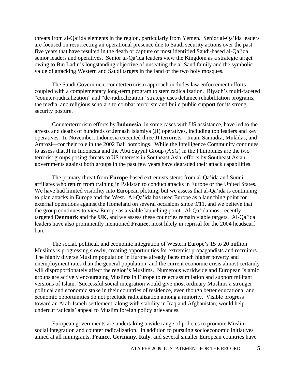threats from al-Qa'ida elements in the region, particularly from Yemen. Senior al-Qa'ida leaders are focused on resurrecting an operational presence due to Saudi security actions over the past five years that have resulted in the death or capture of most identified Saudi-based al-Qa'ida senior leaders and operatives. Senior al-Qa'ida leaders view the Kingdom as a strategic target owing to Bin Ladin's longstanding objective of unseating the al-Saud family and the symbolic value of attacking Western and Saudi targets in the land of the two holy mosques.

The Saudi Government counterterrorism approach includes law enforcement efforts coupled with a complementary long-term program to stem radicalization. Riyadh's multi-faceted "counter-radicalization" and "de-radicalization" strategy uses detainee rehabilitation programs, the media, and religious scholars to combat terrorism and build public support for its strong security posture.

Counterterrorism efforts by **Indonesia**, in some cases with US assistance, have led to the arrests and deaths of hundreds of Jemaah Islamiya (JI) operatives, including top leaders and key operatives. In November, Indonesia executed three JI terrorists—Imam Samudra, Mukhlas, and Amrozi—for their role in the 2002 Bali bombings. While the Intelligence Community continues to assess that JI in Indonesia and the Abu Sayyaf Group (ASG) in the Philippines are the two terrorist groups posing threats to US interests in Southeast Asia, efforts by Southeast Asian governments against both groups in the past few years have degraded their attack capabilities.

The primary threat from **Europe-**based extremists stems from al-Qa'ida and Sunni affiliates who return from training in Pakistan to conduct attacks in Europe or the United States. We have had limited visibility into European plotting, but we assess that al-Qa'ida is continuing to plan attacks in Europe and the West. Al-Qa'ida has used Europe as a launching point for external operations against the Homeland on several occasions since 9/11, and we believe that the group continues to view Europe as a viable launching point. Al-Qa'ida most recently targeted **Denmark** and the **UK,** and we assess these countries remain viable targets. Al-Qa'ida leaders have also prominently mentioned **France**, most likely in reprisal for the 2004 headscarf ban.

The social, political, and economic integration of Western Europe's 15 to 20 million Muslims is progressing slowly, creating opportunities for extremist propagandists and recruiters. The highly diverse Muslim population in Europe already faces much higher poverty and unemployment rates than the general population, and the current economic crisis almost certainly will disproportionately affect the region's Muslims. Numerous worldwide and European Islamic groups are actively encouraging Muslims in Europe to reject assimilation and support militant versions of Islam. Successful social integration would give most ordinary Muslims a stronger political and economic stake in their countries of residence, even though better educational and economic opportunities do not preclude radicalization among a minority. Visible progress toward an Arab-Israeli settlement, along with stability in Iraq and Afghanistan, would help undercut radicals' appeal to Muslim foreign policy grievances.

European governments are undertaking a wide range of policies to promote Muslim social integration and counter radicalization. In addition to pursuing socioeconomic initiatives aimed at all immigrants, **France**, **Germany**, **Italy**, and several smaller European countries have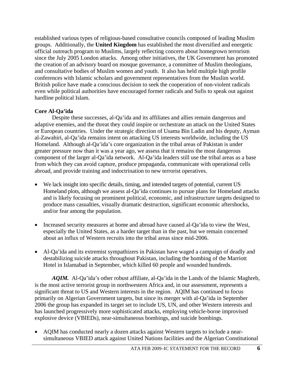established various types of religious-based consultative councils composed of leading Muslim groups. Additionally, the **United Kingdom** has established the most diversified and energetic official outreach program to Muslims, largely reflecting concern about homegrown terrorism since the July 2005 London attacks. Among other initiatives, the UK Government has promoted the creation of an advisory board on mosque governance, a committee of Muslim theologians, and consultative bodies of Muslim women and youth. It also has held multiple high profile conferences with Islamic scholars and government representatives from the Muslim world. British police have made a conscious decision to seek the cooperation of non-violent radicals even while political authorities have encouraged former radicals and Sufis to speak out against hardline political Islam.

#### **Core Al-Qa'ida**

Despite these successes, al-Qa'ida and its affiliates and allies remain dangerous and adaptive enemies, and the threat they could inspire or orchestrate an attack on the United States or European countries. Under the strategic direction of Usama Bin Ladin and his deputy, Ayman al-Zawahiri, al-Qa'ida remains intent on attacking US interests worldwide, including the US Homeland. Although al-Qa'ida's core organization in the tribal areas of Pakistan is under greater pressure now than it was a year ago, we assess that it remains the most dangerous component of the larger al-Qa'ida network. Al-Qa'ida leaders still use the tribal areas as a base from which they can avoid capture, produce propaganda, communicate with operational cells abroad, and provide training and indoctrination to new terrorist operatives.

- We lack insight into specific details, timing, and intended targets of potential, current US Homeland plots, although we assess al-Qa'ida continues to pursue plans for Homeland attacks and is likely focusing on prominent political, economic, and infrastructure targets designed to produce mass casualties, visually dramatic destruction, significant economic aftershocks, and/or fear among the population.
- Increased security measures at home and abroad have caused al-Qa'ida to view the West, especially the United States, as a harder target than in the past, but we remain concerned about an influx of Western recruits into the tribal areas since mid-2006.
- Al-Qa'ida and its extremist sympathizers in Pakistan have waged a campaign of deadly and destabilizing suicide attacks throughout Pakistan, including the bombing of the Marriott Hotel in Islamabad in September, which killed 60 people and wounded hundreds.

*AQIM.*Al-Qa'ida's other robust affiliate, al-Qa'ida in the Lands of the Islamic Maghreb, is the most active terrorist group in northwestern Africa and, in our assessment, represents a significant threat to US and Western interests in the region. AQIM has continued to focus primarily on Algerian Government targets, but since its merger with al-Qa'ida in September 2006 the group has expanded its target set to include US, UN, and other Western interests and has launched progressively more sophisticated attacks, employing vehicle-borne improvised explosive device (VBIEDs), near-simultaneous bombings, and suicide bombings*.* 

• AQIM has conducted nearly a dozen attacks against Western targets to include a nearsimultaneous VBIED attack against United Nations facilities and the Algerian Constitutional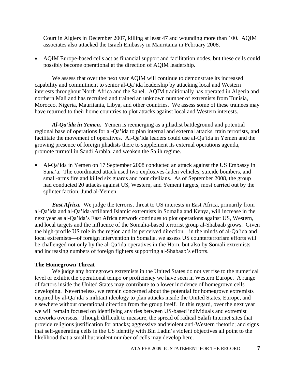Court in Algiers in December 2007, killing at least 47 and wounding more than 100. AQIM associates also attacked the Israeli Embassy in Mauritania in February 2008.

• AQIM Europe-based cells act as financial support and facilitation nodes, but these cells could possibly become operational at the direction of AQIM leadership.

We assess that over the next year AQIM will continue to demonstrate its increased capability and commitment to senior al-Qa'ida leadership by attacking local and Western interests throughout North Africa and the Sahel. AQIM traditionally has operated in Algeria and northern Mali and has recruited and trained an unknown number of extremists from Tunisia, Morocco, Nigeria, Mauritania, Libya, and other countries. We assess some of these trainees may have returned to their home countries to plot attacks against local and Western interests.

*Al-Qa'ida in Yemen.* Yemen is reemerging as a jihadist battleground and potential regional base of operations for al-Qa'ida to plan internal and external attacks, train terrorists, and facilitate the movement of operatives. Al-Qa'ida leaders could use al-Qa'ida in Yemen and the growing presence of foreign jihadists there to supplement its external operations agenda, promote turmoil in Saudi Arabia, and weaken the Salih regime.

• Al-Qa'ida in Yemen on 17 September 2008 conducted an attack against the US Embassy in Sana'a. The coordinated attack used two explosives-laden vehicles, suicide bombers, and small-arms fire and killed six guards and four civilians. As of September 2008, the group had conducted 20 attacks against US, Western, and Yemeni targets, most carried out by the splinter faction, Jund al-Yemen.

*East Africa.* We judge the terrorist threat to US interests in East Africa, primarily from al-Qa'ida and al-Qa'ida-affiliated Islamic extremists in Somalia and Kenya, will increase in the next year as al-Qa'ida's East Africa network continues to plot operations against US, Western, and local targets and the influence of the Somalia-based terrorist group al-Shabaab grows. Given the high-profile US role in the region and its perceived direction—in the minds of al-Qa'ida and local extremists—of foreign intervention in Somalia, we assess US counterterrorism efforts will be challenged not only by the al-Qa'ida operatives in the Horn, but also by Somali extremists and increasing numbers of foreign fighters supporting al-Shabaab's efforts.

#### **The Homegrown Threat**

We judge any homegrown extremists in the United States do not yet rise to the numerical level or exhibit the operational tempo or proficiency we have seen in Western Europe. A range of factors inside the United States may contribute to a lower incidence of homegrown cells developing. Nevertheless, we remain concerned about the potential for homegrown extremists inspired by al-Qa'ida's militant ideology to plan attacks inside the United States, Europe, and elsewhere without operational direction from the group itself. In this regard, over the next year we will remain focused on identifying any ties between US-based individuals and extremist networks overseas. Though difficult to measure, the spread of radical Salafi Internet sites that provide religious justification for attacks; aggressive and violent anti-Western rhetoric; and signs that self-generating cells in the US identify with Bin Ladin's violent objectives all point to the likelihood that a small but violent number of cells may develop here.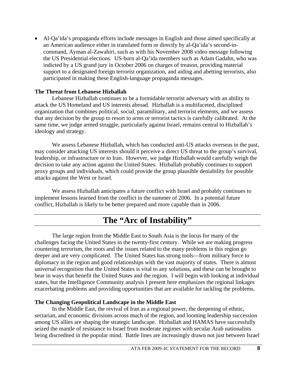• Al-Qa'ida's propaganda efforts include messages in English and those aimed specifically at an American audience either in translated form or directly by al-Qa'ida's second-incommand, Ayman al-Zawahiri, such as with his November 2008 video message following the US Presidential elections. US-born al-Qa'ida members such as Adam Gadahn, who was indicted by a US grand jury in October 2006 on charges of treason, providing material support to a designated foreign terrorist organization, and aiding and abetting terrorists, also participated in making these English-language propaganda messages.

#### **The Threat from Lebanese Hizballah**

Lebanese Hizballah continues to be a formidable terrorist adversary with an ability to attack the US Homeland and US interests abroad. Hizballah is a multifaceted, disciplined organization that combines political, social, paramilitary, and terrorist elements, and we assess that any decision by the group to resort to arms or terrorist tactics is carefully calibrated. At the same time, we judge armed struggle, particularly against Israel, remains central to Hizballah's ideology and strategy.

We assess Lebanese Hizballah, which has conducted anti-US attacks overseas in the past, may consider attacking US interests should it perceive a direct US threat to the group's survival, leadership, or infrastructure or to Iran. However, we judge Hizballah would carefully weigh the decision to take any action against the United States. Hizballah probably continues to support proxy groups and individuals, which could provide the group plausible deniability for possible attacks against the West or Israel.

We assess Hizballah anticipates a future conflict with Israel and probably continues to implement lessons learned from the conflict in the summer of 2006. In a potential future conflict, Hizballah is likely to be better prepared and more capable than in 2006.

### **The "Arc of Instability"**

The large region from the Middle East to South Asia is the locus for many of the challenges facing the United States in the twenty-first century. While we are making progress countering terrorism, the roots and the issues related to the many problems in this region go deeper and are very complicated. The United States has strong tools—from military force to diplomacy in the region and good relationships with the vast majority of states. There is almost universal recognition that the United States is vital to any solutions, and these can be brought to bear in ways that benefit the United States and the region. I will begin with looking at individual states, but the Intelligence Community analysis I present here emphasizes the regional linkages exacerbating problems and providing opportunities that are available for tackling the problems.

#### **The Changing Geopolitical Landscape in the Middle East**

In the Middle East, the revival of Iran as a regional power, the deepening of ethnic, sectarian, and economic divisions across much of the region, and looming leadership succession among US allies are shaping the strategic landscape. Hizballah and HAMAS have successfully seized the mantle of resistance to Israel from moderate regimes with secular Arab nationalists being discredited in the popular mind. Battle lines are increasingly drawn not just between Israel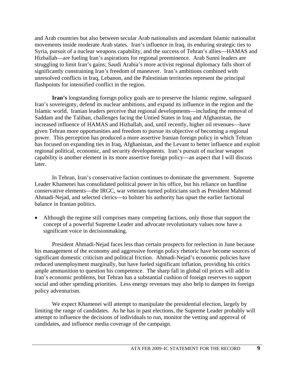and Arab countries but also between secular Arab nationalists and ascendant Islamic nationalist movements inside moderate Arab states. Iran's influence in Iraq, its enduring strategic ties to Syria, pursuit of a nuclear weapons capability, and the success of Tehran's allies—HAMAS and Hizballah—are fueling Iran's aspirations for regional preeminence. Arab Sunni leaders are struggling to limit Iran's gains; Saudi Arabia's more activist regional diplomacy falls short of significantly constraining Iran's freedom of maneuver. Iran's ambitions combined with unresolved conflicts in Iraq, Lebanon, and the Palestinian territories represent the principal flashpoints for intensified conflict in the region.

**Iran's** longstanding foreign policy goals are to preserve the Islamic regime, safeguard Iran's sovereignty, defend its nuclear ambitions, and expand its influence in the region and the Islamic world. Iranian leaders perceive that regional developments—including the removal of Saddam and the Taliban, challenges facing the Untied States in Iraq and Afghanistan, the increased influence of HAMAS and Hizballah, and, until recently, higher oil revenues—have given Tehran more opportunities and freedom to pursue its objective of becoming a regional power. This perception has produced a more assertive Iranian foreign policy in which Tehran has focused on expanding ties in Iraq, Afghanistan, and the Levant to better influence and exploit regional political, economic, and security developments. Iran's pursuit of nuclear weapon capability is another element in its more assertive foreign policy—an aspect that I will discuss later.

In Tehran, Iran's conservative faction continues to dominate the government. Supreme Leader Khamenei has consolidated political power in his office, but his reliance on hardline conservative elements—the IRGC, war veterans turned politicians such as President Mahmud Ahmadi-Nejad, and selected clerics—to bolster his authority has upset the earlier factional balance in Iranian politics.

• Although the regime still comprises many competing factions, only those that support the concept of a powerful Supreme Leader and advocate revolutionary values now have a significant voice in decisionmaking.

President Ahmadi-Nejad faces less than certain prospects for reelection in June because his management of the economy and aggressive foreign policy rhetoric have become sources of significant domestic criticism and political friction. Ahmadi-Nejad's economic policies have reduced unemployment marginally, but have fueled significant inflation, providing his critics ample ammunition to question his competence. The sharp fall in global oil prices will add to Iran's economic problems, but Tehran has a substantial cushion of foreign reserves to support social and other spending priorities. Less energy revenues may also help to dampen its foreign policy adventurism.

We expect Khamenei will attempt to manipulate the presidential election, largely by limiting the range of candidates. As he has in past elections, the Supreme Leader probably will attempt to influence the decisions of individuals to run, monitor the vetting and approval of candidates, and influence media coverage of the campaign.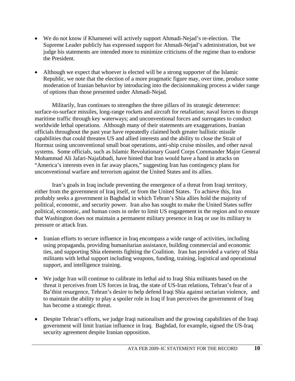- We do not know if Khamenei will actively support Ahmadi-Nejad's re-election. The Supreme Leader publicly has expressed support for Ahmadi-Nejad's administration, but we judge his statements are intended more to minimize criticisms of the regime than to endorse the President.
- Although we expect that whoever is elected will be a strong supporter of the Islamic Republic, we note that the election of a more pragmatic figure may, over time, produce some moderation of Iranian behavior by introducing into the decisionmaking process a wider range of options than those presented under Ahmadi-Nejad.

Militarily, Iran continues to strengthen the three pillars of its strategic deterrence: surface-to-surface missiles, long-range rockets and aircraft for retaliation; naval forces to disrupt maritime traffic through key waterways; and unconventional forces and surrogates to conduct worldwide lethal operations. Although many of their statements are exaggerations, Iranian officials throughout the past year have repeatedly claimed both greater ballistic missile capabilities that could threaten US and allied interests and the ability to close the Strait of Hormuz using unconventional small boat operations, anti-ship cruise missiles, and other naval systems. Some officials, such as Islamic Revolutionary Guard Corps Commander Major General Mohammad Ali Jafari-Najafabadi, have hinted that Iran would have a hand in attacks on "America's interests even in far away places," suggesting Iran has contingency plans for unconventional warfare and terrorism against the United States and its allies.

Iran's goals in Iraq include preventing the emergence of a threat from Iraqi territory, either from the government of Iraq itself, or from the United States. To achieve this, Iran probably seeks a government in Baghdad in which Tehran's Shia allies hold the majority of political, economic, and security power. Iran also has sought to make the United States suffer political, economic, and human costs in order to limit US engagement in the region and to ensure that Washington does not maintain a permanent military presence in Iraq or use its military to pressure or attack Iran.

- Iranian efforts to secure influence in Iraq encompass a wide range of activities, including using propaganda, providing humanitarian assistance, building commercial and economic ties, and supporting Shia elements fighting the Coalition. Iran has provided a variety of Shia militants with lethal support including weapons, funding, training, logistical and operational support, and intelligence training.
- We judge Iran will continue to calibrate its lethal aid to Iraqi Shia militants based on the threat it perceives from US forces in Iraq, the state of US-Iran relations, Tehran's fear of a Ba'thist resurgence, Tehran's desire to help defend Iraqi Shia against sectarian violence, and to maintain the ability to play a spoiler role in Iraq if Iran perceives the government of Iraq has become a strategic threat.
- Despite Tehran's efforts, we judge Iraqi nationalism and the growing capabilities of the Iraqi government will limit Iranian influence in Iraq. Baghdad, for example, signed the US-Iraq security agreement despite Iranian opposition.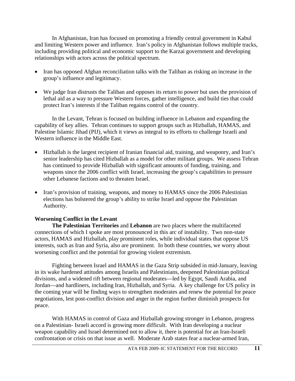In Afghanistan, Iran has focused on promoting a friendly central government in Kabul and limiting Western power and influence. Iran's policy in Afghanistan follows multiple tracks, including providing political and economic support to the Karzai government and developing relationships with actors across the political spectrum.

- Iran has opposed Afghan reconciliation talks with the Taliban as risking an increase in the group's influence and legitimacy.
- We judge Iran distrusts the Taliban and opposes its return to power but uses the provision of lethal aid as a way to pressure Western forces, gather intelligence, and build ties that could protect Iran's interests if the Taliban regains control of the country.

In the Levant, Tehran is focused on building influence in Lebanon and expanding the capability of key allies. Tehran continues to support groups such as Hizballah, HAMAS, and Palestine Islamic Jihad (PIJ), which it views as integral to its efforts to challenge Israeli and Western influence in the Middle East.

- Hizballah is the largest recipient of Iranian financial aid, training, and weaponry, and Iran's senior leadership has cited Hizballah as a model for other militant groups. We assess Tehran has continued to provide Hizballah with significant amounts of funding, training, and weapons since the 2006 conflict with Israel, increasing the group's capabilities to pressure other Lebanese factions and to threaten Israel.
- Iran's provision of training, weapons, and money to HAMAS since the 2006 Palestinian elections has bolstered the group's ability to strike Israel and oppose the Palestinian Authority.

#### **Worsening Conflict in the Levant**

**The Palestinian Territories** and **Lebanon** are two places where the multifaceted connections of which I spoke are most pronounced in this arc of instability. Two non-state actors, HAMAS and Hizballah, play prominent roles, while individual states that oppose US interests, such as Iran and Syria, also are prominent. In both these countries, we worry about worsening conflict and the potential for growing violent extremism.

Fighting between Israel and HAMAS in the Gaza Strip subsided in mid-January, leaving in its wake hardened attitudes among Israelis and Palestinians, deepened Palestinian political divisions, and a widened rift between regional moderates—led by Egypt, Saudi Arabia, and Jordan—and hardliners, including Iran, Hizballah, and Syria. A key challenge for US policy in the coming year will be finding ways to strengthen moderates and renew the potential for peace negotiations, lest post-conflict division and anger in the region further diminish prospects for peace.

With HAMAS in control of Gaza and Hizballah growing stronger in Lebanon, progress on a Palestinian- Israeli accord is growing more difficult. With Iran developing a nuclear weapon capability and Israel determined not to allow it, there is potential for an Iran-Israeli confrontation or crisis on that issue as well. Moderate Arab states fear a nuclear-armed Iran,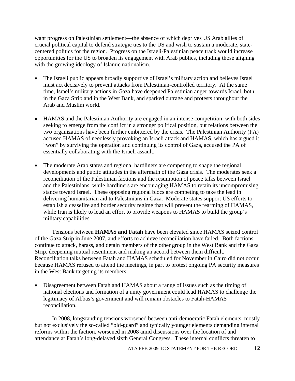want progress on Palestinian settlement—the absence of which deprives US Arab allies of crucial political capital to defend strategic ties to the US and wish to sustain a moderate, statecentered politics for the region. Progress on the Israeli-Palestinian peace track would increase opportunities for the US to broaden its engagement with Arab publics, including those aligning with the growing ideology of Islamic nationalism.

- The Israeli public appears broadly supportive of Israel's military action and believes Israel must act decisively to prevent attacks from Palestinian-controlled territory. At the same time, Israel's military actions in Gaza have deepened Palestinian anger towards Israel, both in the Gaza Strip and in the West Bank, and sparked outrage and protests throughout the Arab and Muslim world.
- HAMAS and the Palestinian Authority are engaged in an intense competition, with both sides seeking to emerge from the conflict in a stronger political position, but relations between the two organizations have been further embittered by the crisis. The Palestinian Authority (PA) accused HAMAS of needlessly provoking an Israeli attack and HAMAS, which has argued it "won" by surviving the operation and continuing its control of Gaza, accused the PA of essentially collaborating with the Israeli assault.
- The moderate Arab states and regional hardliners are competing to shape the regional developments and public attitudes in the aftermath of the Gaza crisis. The moderates seek a reconciliation of the Palestinian factions and the resumption of peace talks between Israel and the Palestinians, while hardliners are encouraging HAMAS to retain its uncompromising stance toward Israel. These opposing regional blocs are competing to take the lead in delivering humanitarian aid to Palestinians in Gaza. Moderate states support US efforts to establish a ceasefire and border security regime that will prevent the rearming of HAMAS, while Iran is likely to lead an effort to provide weapons to HAMAS to build the group's military capabilities.

Tensions between **HAMAS and Fatah** have been elevated since HAMAS seized control of the Gaza Strip in June 2007, and efforts to achieve reconciliation have failed. Both factions continue to attack, harass, and detain members of the other group in the West Bank and the Gaza Strip, deepening mutual resentment and making an accord between them difficult. Reconciliation talks between Fatah and HAMAS scheduled for November in Cairo did not occur because HAMAS refused to attend the meetings, in part to protest ongoing PA security measures in the West Bank targeting its members.

• Disagreement between Fatah and HAMAS about a range of issues such as the timing of national elections and formation of a unity government could lead HAMAS to challenge the legitimacy of Abbas's government and will remain obstacles to Fatah-HAMAS reconciliation.

In 2008, longstanding tensions worsened between anti-democratic Fatah elements, mostly but not exclusively the so-called "old-guard" and typically younger elements demanding internal reforms within the faction, worsened in 2008 amid discussions over the location of and attendance at Fatah's long-delayed sixth General Congress. These internal conflicts threaten to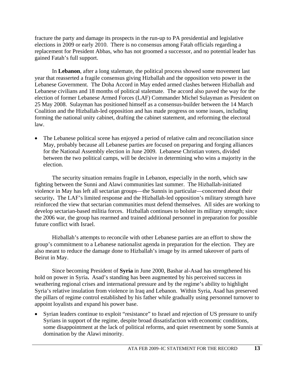fracture the party and damage its prospects in the run-up to PA presidential and legislative elections in 2009 or early 2010. There is no consensus among Fatah officials regarding a replacement for President Abbas, who has not groomed a successor, and no potential leader has gained Fatah's full support.

In **Lebanon**, after a long stalemate, the political process showed some movement last year that reasserted a fragile consensus giving Hizballah and the opposition veto power in the Lebanese Government. The Doha Accord in May ended armed clashes between Hizballah and Lebanese civilians and 18 months of political stalemate. The accord also paved the way for the election of former Lebanese Armed Forces (LAF) Commander Michel Sulayman as President on 25 May 2008. Sulayman has positioned himself as a consensus-builder between the 14 March Coalition and the Hizballah-led opposition and has made progress on some issues, including forming the national unity cabinet, drafting the cabinet statement, and reforming the electoral law.

• The Lebanese political scene has enjoyed a period of relative calm and reconciliation since May, probably because all Lebanese parties are focused on preparing and forging alliances for the National Assembly election in June 2009. Lebanese Christian voters, divided between the two political camps, will be decisive in determining who wins a majority in the election.

The security situation remains fragile in Lebanon, especially in the north, which saw fighting between the Sunni and Alawi communities last summer. The Hizballah-initiated violence in May has left all sectarian groups—the Sunnis in particular—concerned about their security**.** The LAF's limited response and the Hizballah-led opposition's military strength have reinforced the view that sectarian communities must defend themselves. All sides are working to develop sectarian-based militia forces. Hizballah continues to bolster its military strength; since the 2006 war, the group has rearmed and trained additional personnel in preparation for possible future conflict with Israel.

Hizballah's attempts to reconcile with other Lebanese parties are an effort to show the group's commitment to a Lebanese nationalist agenda in preparation for the election. They are also meant to reduce the damage done to Hizballah's image by its armed takeover of parts of Beirut in May.

Since becoming President of **Syria** in June 2000, Bashar al-Asad has strengthened his hold on power in Syria**.** Asad's standing has been augmented by his perceived success in weathering regional crises and international pressure and by the regime's ability to highlight Syria's relative insulation from violence in Iraq and Lebanon. Within Syria, Asad has preserved the pillars of regime control established by his father while gradually using personnel turnover to appoint loyalists and expand his power base.

• Syrian leaders continue to exploit "resistance" to Israel and rejection of US pressure to unify Syrians in support of the regime, despite broad dissatisfaction with economic conditions, some disappointment at the lack of political reforms, and quiet resentment by some Sunnis at domination by the Alawi minority.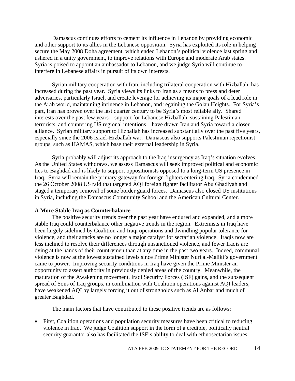Damascus continues efforts to cement its influence in Lebanon by providing economic and other support to its allies in the Lebanese opposition. Syria has exploited its role in helping secure the May 2008 Doha agreement, which ended Lebanon's political violence last spring and ushered in a unity government, to improve relations with Europe and moderate Arab states. Syria is poised to appoint an ambassador to Lebanon, and we judge Syria will continue to interfere in Lebanese affairs in pursuit of its own interests.

Syrian military cooperation with Iran, including trilateral cooperation with Hizballah, has increased during the past year. Syria views its links to Iran as a means to press and deter adversaries, particularly Israel, and create leverage for achieving its major goals of a lead role in the Arab world, maintaining influence in Lebanon, and regaining the Golan Heights. For Syria's part, Iran has proven over the last quarter century to be Syria's most reliable ally. Shared interests over the past few years—support for Lebanese Hizballah, sustaining Palestinian terrorists, and countering US regional intentions—have drawn Iran and Syria toward a closer alliance. Syrian military support to Hizballah has increased substantially over the past five years, especially since the 2006 Israel-Hizballah war. Damascus also supports Palestinian rejectionist groups, such as HAMAS, which base their external leadership in Syria.

Syria probably will adjust its approach to the Iraq insurgency as Iraq's situation evolves. As the United States withdraws, we assess Damascus will seek improved political and economic ties to Baghdad and is likely to support oppositionists opposed to a long-term US presence in Iraq. Syria will remain the primary gateway for foreign fighters entering Iraq. Syria condemned the 26 October 2008 US raid that targeted AQI foreign fighter facilitator Abu Ghadiyah and staged a temporary removal of some border guard forces. Damascus also closed US institutions in Syria, including the Damascus Community School and the American Cultural Center.

#### **A More Stable Iraq as Counterbalance**

The positive security trends over the past year have endured and expanded, and a more stable Iraq could counterbalance other negative trends in the region. Extremists in Iraq have been largely sidelined by Coalition and Iraqi operations and dwindling popular tolerance for violence, and their attacks are no longer a major catalyst for sectarian violence. Iraqis now are less inclined to resolve their differences through unsanctioned violence, and fewer Iraqis are dying at the hands of their countrymen than at any time in the past two years. Indeed, communal violence is now at the lowest sustained levels since Prime Minister Nuri al-Maliki's government came to power. Improving security conditions in Iraq have given the Prime Minister an opportunity to assert authority in previously denied areas of the country. Meanwhile, the maturation of the Awakening movement, Iraqi Security Forces (ISF) gains, and the subsequent spread of Sons of Iraq groups, in combination with Coalition operations against AQI leaders, have weakened AQI by largely forcing it out of strongholds such as Al Anbar and much of greater Baghdad.

The main factors that have contributed to these positive trends are as follows:

• First, Coalition operations and population security measures have been critical to reducing violence in Iraq. We judge Coalition support in the form of a credible, politically neutral security guarantor also has facilitated the ISF's ability to deal with ethnosectarian issues.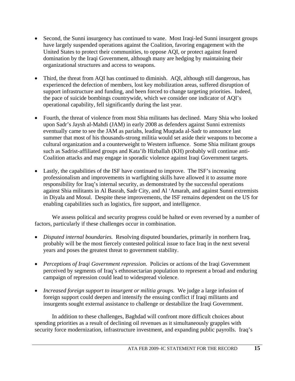- Second, the Sunni insurgency has continued to wane. Most Iraqi-led Sunni insurgent groups have largely suspended operations against the Coalition, favoring engagement with the United States to protect their communities, to oppose AQI, or protect against feared domination by the Iraqi Government, although many are hedging by maintaining their organizational structures and access to weapons.
- Third, the threat from AQI has continued to diminish. AQI, although still dangerous, has experienced the defection of members, lost key mobilization areas, suffered disruption of support infrastructure and funding, and been forced to change targeting priorities. Indeed, the pace of suicide bombings countrywide, which we consider one indicator of AQI's operational capability, fell significantly during the last year.
- Fourth, the threat of violence from most Shia militants has declined. Many Shia who looked upon Sadr's Jaysh al-Mahdi (JAM) in early 2008 as defenders against Sunni extremists eventually came to see the JAM as pariahs, leading Muqtada al-Sadr to announce last summer that most of his thousands-strong militia would set aside their weapons to become a cultural organization and a counterweight to Western influence. Some Shia militant groups such as Sadrist-affiliated groups and Kata'ib Hizballah (KH) probably will continue anti-Coalition attacks and may engage in sporadic violence against Iraqi Government targets.
- Lastly, the capabilities of the ISF have continued to improve. The ISF's increasing professionalism and improvements in warfighting skills have allowed it to assume more responsibility for Iraq's internal security, as demonstrated by the successful operations against Shia militants in Al Basrah, Sadr City, and Al 'Amarah, and against Sunni extremists in Diyala and Mosul. Despite these improvements, the ISF remains dependent on the US for enabling capabilities such as logistics, fire support, and intelligence.

We assess political and security progress could be halted or even reversed by a number of factors, particularly if these challenges occur in combination.

- *Disputed internal boundaries.*Resolving disputed boundaries, primarily in northern Iraq, probably will be the most fiercely contested political issue to face Iraq in the next several years and poses the greatest threat to government stability.
- *Perceptions of Iraqi Government repression.* Policies or actions of the Iraqi Government perceived by segments of Iraq's ethnosectarian population to represent a broad and enduring campaign of repression could lead to widespread violence.
- *Increased foreign support to insurgent or militia groups.* We judge a large infusion of foreign support could deepen and intensify the ensuing conflict if Iraqi militants and insurgents sought external assistance to challenge or destabilize the Iraqi Government.

In addition to these challenges, Baghdad will confront more difficult choices about spending priorities as a result of declining oil revenues as it simultaneously grapples with security force modernization, infrastructure investment, and expanding public payrolls. Iraq's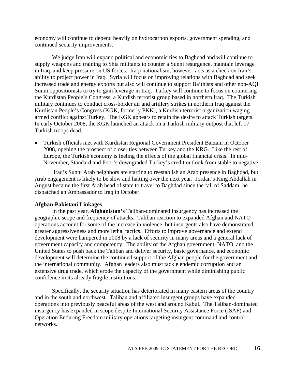economy will continue to depend heavily on hydrocarbon exports, government spending, and continued security improvements.

We judge Iran will expand political and economic ties to Baghdad and will continue to supply weapons and training to Shia militants to counter a Sunni resurgence, maintain leverage in Iraq, and keep pressure on US forces. Iraqi nationalism, however, acts as a check on Iran's ability to project power in Iraq. Syria will focus on improving relations with Baghdad and seek increased trade and energy exports but also will continue to support Ba'thists and other non-AQI Sunni oppositionists to try to gain leverage in Iraq. Turkey will continue to focus on countering the Kurdistan People's Congress, a Kurdish terrorist group based in northern Iraq. The Turkish military continues to conduct cross-border air and artillery strikes in northern Iraq against the Kurdistan People's Congress (KGK, formerly PKK), a Kurdish terrorist organization waging armed conflict against Turkey. The KGK appears to retain the desire to attack Turkish targets. In early October 2008, the KGK launched an attack on a Turkish military outpost that left 17 Turkish troops dead.

• Turkish officials met with Kurdistan Regional Government President Barzani in October 2008, opening the prospect of closer ties between Turkey and the KRG. Like the rest of Europe, the Turkish economy is feeling the effects of the global financial crisis. In mid-November, Standard and Poor's downgraded Turkey's credit outlook from stable to negative.

 Iraq's Sunni Arab neighbors are starting to reestablish an Arab presence in Baghdad, but Arab engagement is likely to be slow and halting over the next year. Jordan's King Abdallah in August became the first Arab head of state to travel to Baghdad since the fall of Saddam; he dispatched an Ambassador to Iraq in October.

#### **Afghan-Pakistani Linkages**

In the past year, **Afghanistan's** Taliban-dominated insurgency has increased the geographic scope and frequency of attacks. Taliban reaction to expanded Afghan and NATO operations account for some of the increase in violence, but insurgents also have demonstrated greater aggressiveness and more lethal tactics. Efforts to improve governance and extend development were hampered in 2008 by a lack of security in many areas and a general lack of government capacity and competency. The ability of the Afghan government, NATO, and the United States to push back the Taliban and deliver security, basic governance, and economic development will determine the continued support of the Afghan people for the government and the international community. Afghan leaders also must tackle endemic corruption and an extensive drug trade, which erode the capacity of the government while diminishing public confidence in its already fragile institutions.

Specifically, the security situation has deteriorated in many eastern areas of the country and in the south and northwest. Taliban and affiliated insurgent groups have expanded operations into previously peaceful areas of the west and around Kabul. The Taliban-dominated insurgency has expanded in scope despite International Security Assistance Force (ISAF) and Operation Enduring Freedom military operations targeting insurgent command and control networks.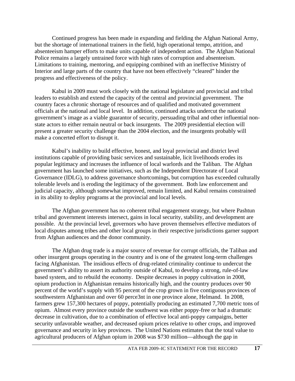Continued progress has been made in expanding and fielding the Afghan National Army, but the shortage of international trainers in the field, high operational tempo, attrition, and absenteeism hamper efforts to make units capable of independent action. The Afghan National Police remains a largely untrained force with high rates of corruption and absenteeism. Limitations to training, mentoring, and equipping combined with an ineffective Ministry of Interior and large parts of the country that have not been effectively "cleared" hinder the progress and effectiveness of the policy.

Kabul in 2009 must work closely with the national legislature and provincial and tribal leaders to establish and extend the capacity of the central and provincial government. The country faces a chronic shortage of resources and of qualified and motivated government officials at the national and local level. In addition, continued attacks undercut the national government's image as a viable guarantor of security, persuading tribal and other influential nonstate actors to either remain neutral or back insurgents. The 2009 presidential election will present a greater security challenge than the 2004 election, and the insurgents probably will make a concerted effort to disrupt it.

Kabul's inability to build effective, honest, and loyal provincial and district level institutions capable of providing basic services and sustainable, licit livelihoods erodes its popular legitimacy and increases the influence of local warlords and the Taliban. The Afghan government has launched some initiatives, such as the Independent Directorate of Local Governance (IDLG), to address governance shortcomings, but corruption has exceeded culturally tolerable levels and is eroding the legitimacy of the government. Both law enforcement and judicial capacity, although somewhat improved, remain limited, and Kabul remains constrained in its ability to deploy programs at the provincial and local levels.

The Afghan government has no coherent tribal engagement strategy, but where Pashtun tribal and government interests intersect, gains in local security, stability, and development are possible. At the provincial level, governors who have proven themselves effective mediators of local disputes among tribes and other local groups in their respective jurisdictions garner support from Afghan audiences and the donor community.

The Afghan drug trade is a major source of revenue for corrupt officials, the Taliban and other insurgent groups operating in the country and is one of the greatest long-term challenges facing Afghanistan. The insidious effects of drug-related criminality continue to undercut the government's ability to assert its authority outside of Kabul, to develop a strong, rule-of-law based system, and to rebuild the economy. Despite decreases in poppy cultivation in 2008, opium production in Afghanistan remains historically high, and the country produces over 90 percent of the world's supply with 95 percent of the crop grown in five contiguous provinces of southwestern Afghanistan and over 60 perce3nt in one province alone, Helmand. In 2008, farmers grew 157,300 hectares of poppy, potentially producing an estimated 7,700 metric tons of opium. Almost every province outside the southwest was either poppy-free or had a dramatic decrease in cultivation, due to a combination of effective local anti-poppy campaigns, better security unfavorable weather, and decreased opium prices relative to other crops, and improved governance and security in key provinces. The United Nations estimates that the total value to agricultural producers of Afghan opium in 2008 was \$730 million—although the gap in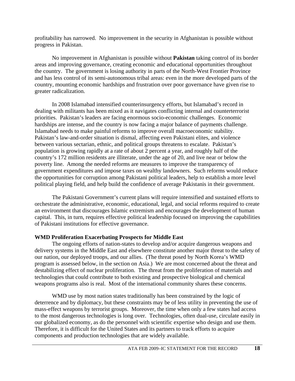profitability has narrowed. No improvement in the security in Afghanistan is possible without progress in Pakistan.

No improvement in Afghanistan is possible without **Pakistan** taking control of its border areas and improving governance, creating economic and educational opportunities throughout the country. The government is losing authority in parts of the North-West Frontier Province and has less control of its semi-autonomous tribal areas: even in the more developed parts of the country, mounting economic hardships and frustration over poor governance have given rise to greater radicalization.

In 2008 Islamabad intensified counterinsurgency efforts, but Islamabad's record in dealing with militants has been mixed as it navigates conflicting internal and counterterrorist priorities. Pakistan's leaders are facing enormous socio-economic challenges. Economic hardships are intense, and the country is now facing a major balance of payments challenge. Islamabad needs to make painful reforms to improve overall macroeconomic stability. Pakistan's law-and-order situation is dismal, affecting even Pakistani elites, and violence between various sectarian, ethnic, and political groups threatens to escalate. Pakistan's population is growing rapidly at a rate of about 2 percent a year, and roughly half of the country's 172 million residents are illiterate, under the age of 20, and live near or below the poverty line. Among the needed reforms are measures to improve the transparency of government expenditures and impose taxes on wealthy landowners. Such reforms would reduce the opportunities for corruption among Pakistani political leaders, help to establish a more level political playing field, and help build the confidence of average Pakistanis in their government.

The Pakistani Government's current plans will require intensified and sustained efforts to orchestrate the administrative, economic, educational, legal, and social reforms required to create an environment that discourages Islamic extremism and encourages the development of human capital. This, in turn, requires effective political leadership focused on improving the capabilities of Pakistani institutions for effective governance.

#### **WMD Proliferation Exacerbating Prospects for Middle East**

The ongoing efforts of nation-states to develop and/or acquire dangerous weapons and delivery systems in the Middle East and elsewhere constitute another major threat to the safety of our nation, our deployed troops, and our allies. (The threat posed by North Korea's WMD program is assessed below, in the section on Asia.) We are most concerned about the threat and destabilizing effect of nuclear proliferation. The threat from the proliferation of materials and technologies that could contribute to both existing and prospective biological and chemical weapons programs also is real. Most of the international community shares these concerns.

WMD use by most nation states traditionally has been constrained by the logic of deterrence and by diplomacy, but these constraints may be of less utility in preventing the use of mass-effect weapons by terrorist groups. Moreover, the time when only a few states had access to the most dangerous technologies is long over. Technologies, often dual-use, circulate easily in our globalized economy, as do the personnel with scientific expertise who design and use them. Therefore, it is difficult for the United States and its partners to track efforts to acquire components and production technologies that are widely available.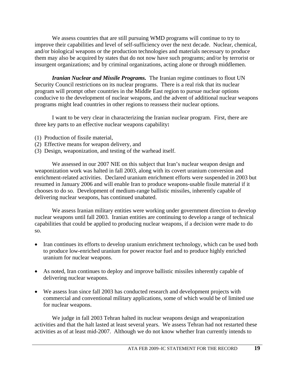We assess countries that are still pursuing WMD programs will continue to try to improve their capabilities and level of self-sufficiency over the next decade. Nuclear, chemical, and/or biological weapons or the production technologies and materials necessary to produce them may also be acquired by states that do not now have such programs; and/or by terrorist or insurgent organizations; and by criminal organizations, acting alone or through middlemen.

*Iranian Nuclear and Missile Programs.* The Iranian regime continues to flout UN Security Council restrictions on its nuclear programs. There is a real risk that its nuclear program will prompt other countries in the Middle East region to pursue nuclear options conducive to the development of nuclear weapons, and the advent of additional nuclear weapons programs might lead countries in other regions to reassess their nuclear options.

I want to be very clear in characterizing the Iranian nuclear program. First, there are three key parts to an effective nuclear weapons capability**:** 

- (1) Production of fissile material,
- (2) Effective means for weapon delivery, and
- (3) Design, weaponization, and testing of the warhead itself.

We assessed in our 2007 NIE on this subject that Iran's nuclear weapon design and weaponization work was halted in fall 2003, along with its covert uranium conversion and enrichment-related activities. Declared uranium enrichment efforts were suspended in 2003 but resumed in January 2006 and will enable Iran to produce weapons-usable fissile material if it chooses to do so. Development of medium-range ballistic missiles, inherently capable of delivering nuclear weapons, has continued unabated.

We assess Iranian military entities were working under government direction to develop nuclear weapons until fall 2003. Iranian entities are continuing to develop a range of technical capabilities that could be applied to producing nuclear weapons, if a decision were made to do so.

- Iran continues its efforts to develop uranium enrichment technology, which can be used both to produce low-enriched uranium for power reactor fuel and to produce highly enriched uranium for nuclear weapons.
- As noted, Iran continues to deploy and improve ballistic missiles inherently capable of delivering nuclear weapons.
- We assess Iran since fall 2003 has conducted research and development projects with commercial and conventional military applications, some of which would be of limited use for nuclear weapons.

We judge in fall 2003 Tehran halted its nuclear weapons design and weaponization activities and that the halt lasted at least several years. We assess Tehran had not restarted these activities as of at least mid-2007. Although we do not know whether Iran currently intends to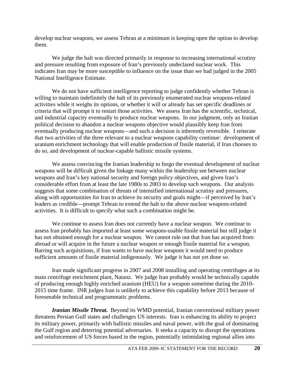develop nuclear weapons, we assess Tehran at a minimum is keeping open the option to develop them.

We judge the halt was directed primarily in response to increasing international scrutiny and pressure resulting from exposure of Iran's previously undeclared nuclear work. This indicates Iran may be more susceptible to influence on the issue than we had judged in the 2005 National Intelligence Estimate.

We do not have sufficient intelligence reporting to judge confidently whether Tehran is willing to maintain indefinitely the halt of its previously enumerated nuclear weapons-related activities while it weighs its options, or whether it will or already has set specific deadlines or criteria that will prompt it to restart those activities. We assess Iran has the scientific, technical, and industrial capacity eventually to produce nuclear weapons. In our judgment, only an Iranian political decision to abandon a nuclear weapons objective would plausibly keep Iran from eventually producing nuclear weapons—and such a decision is inherently reversible. I reiterate that two activities of the three relevant to a nuclear weapons capability continue: development of uranium enrichment technology that will enable production of fissile material, if Iran chooses to do so, and development of nuclear-capable ballistic missile systems.

We assess convincing the Iranian leadership to forgo the eventual development of nuclear weapons will be difficult given the linkage many within the leadership see between nuclear weapons and Iran's key national security and foreign policy objectives, and given Iran's considerable effort from at least the late 1980s to 2003 to develop such weapons. Our analysis suggests that some combination of threats of intensified international scrutiny and pressures, along with opportunities for Iran to achieve its security and goals might—if perceived by Iran's leaders as credible—prompt Tehran to extend the halt to the above nuclear weapons-related activities. It is difficult to specify what such a combination might be.

We continue to assess Iran does not currently have a nuclear weapon. We continue to assess Iran probably has imported at least some weapons-usable fissile material but still judge it has not obtained enough for a nuclear weapon. We cannot rule out that Iran has acquired from abroad or will acquire in the future a nuclear weapon or enough fissile material for a weapon. Barring such acquisitions, if Iran wants to have nuclear weapons it would need to produce sufficient amounts of fissile material indigenously. We judge it has not yet done so.

Iran made significant progress in 2007 and 2008 installing and operating centrifuges at its main centrifuge enrichment plant, Natanz. We judge Iran probably would be technically capable of producing enough highly enriched uranium (HEU) for a weapon sometime during the 2010- 2015 time frame. INR judges Iran is unlikely to achieve this capability before 2013 because of foreseeable technical and programmatic problems.

*Iranian Missile Threat.* Beyond its WMD potential, Iranian conventional military power threatens Persian Gulf states and challenges US interests.Iran is enhancing its ability to project its military power, primarily with ballistic missiles and naval power, with the goal of dominating the Gulf region and deterring potential adversaries. It seeks a capacity to disrupt the operations and reinforcement of US forces based in the region, potentially intimidating regional allies into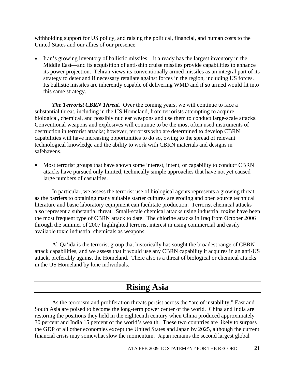withholding support for US policy, and raising the political, financial, and human costs to the United States and our allies of our presence.

• Iran's growing inventory of ballistic missiles—it already has the largest inventory in the Middle East—and its acquisition of anti-ship cruise missiles provide capabilities to enhance its power projection. Tehran views its conventionally armed missiles as an integral part of its strategy to deter and if necessary retaliate against forces in the region, including US forces. Its ballistic missiles are inherently capable of delivering WMD and if so armed would fit into this same strategy.

*The Terrorist CBRN Threat.* Over the coming years, we will continue to face a substantial threat, including in the US Homeland, from terrorists attempting to acquire biological, chemical, and possibly nuclear weapons and use them to conduct large-scale attacks. Conventional weapons and explosives will continue to be the most often used instruments of destruction in terrorist attacks; however, terrorists who are determined to develop CBRN capabilities will have increasing opportunities to do so, owing to the spread of relevant technological knowledge and the ability to work with CBRN materials and designs in safehavens.

• Most terrorist groups that have shown some interest, intent, or capability to conduct CBRN attacks have pursued only limited, technically simple approaches that have not yet caused large numbers of casualties.

In particular, we assess the terrorist use of biological agents represents a growing threat as the barriers to obtaining many suitable starter cultures are eroding and open source technical literature and basic laboratory equipment can facilitate production. Terrorist chemical attacks also represent a substantial threat. Small-scale chemical attacks using industrial toxins have been the most frequent type of CBRN attack to date. The chlorine attacks in Iraq from October 2006 through the summer of 2007 highlighted terrorist interest in using commercial and easily available toxic industrial chemicals as weapons.

Al-Qa'ida is the terrorist group that historically has sought the broadest range of CBRN attack capabilities, and we assess that it would use any CBRN capability it acquires in an anti-US attack, preferably against the Homeland. There also is a threat of biological or chemical attacks in the US Homeland by lone individuals.

# **Rising Asia**

As the terrorism and proliferation threats persist across the "arc of instability," East and South Asia are poised to become the long-term power center of the world. China and India are restoring the positions they held in the eighteenth century when China produced approximately 30 percent and India 15 percent of the world's wealth. These two countries are likely to surpass the GDP of all other economies except the United States and Japan by 2025, although the current financial crisis may somewhat slow the momentum. Japan remains the second largest global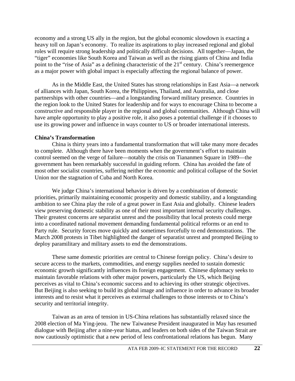economy and a strong US ally in the region, but the global economic slowdown is exacting a heavy toll on Japan's economy. To realize its aspirations to play increased regional and global roles will require strong leadership and politically difficult decisions. All together—Japan, the "tiger" economies like South Korea and Taiwan as well as the rising giants of China and India point to the "rise of Asia" as a defining characteristic of the  $21<sup>st</sup>$  century. China's reemergence as a major power with global impact is especially affecting the regional balance of power.

As in the Middle East, the United States has strong relationships in East Asia—a network of alliances with Japan, South Korea, the Philippines, Thailand, and Australia, and close partnerships with other countries—and a longstanding forward military presence. Countries in the region look to the United States for leadership and for ways to encourage China to become a constructive and responsible player in the regional and global communities. Although China will have ample opportunity to play a positive role, it also poses a potential challenge if it chooses to use its growing power and influence in ways counter to US or broader international interests.

#### **China's Transformation**

China is thirty years into a fundamental transformation that will take many more decades to complete. Although there have been moments when the government's effort to maintain control seemed on the verge of failure—notably the crisis on Tiananmen Square in 1989—the government has been remarkably successful in guiding reform. China has avoided the fate of most other socialist countries, suffering neither the economic and political collapse of the Soviet Union nor the stagnation of Cuba and North Korea.

We judge China's international behavior is driven by a combination of domestic priorities, primarily maintaining economic prosperity and domestic stability, and a longstanding ambition to see China play the role of a great power in East Asia and globally. Chinese leaders view preserving domestic stability as one of their most important internal security challenges. Their greatest concerns are separatist unrest and the possibility that local protests could merge into a coordinated national movement demanding fundamental political reforms or an end to Party rule. Security forces move quickly and sometimes forcefully to end demonstrations. The March 2008 protests in Tibet highlighted the danger of separatist unrest and prompted Beijing to deploy paramilitary and military assets to end the demonstrations.

These same domestic priorities are central to Chinese foreign policy. China's desire to secure access to the markets, commodities, and energy supplies needed to sustain domestic economic growth significantly influences its foreign engagement. Chinese diplomacy seeks to maintain favorable relations with other major powers, particularly the US, which Beijing perceives as vital to China's economic success and to achieving its other strategic objectives. But Beijing is also seeking to build its global image and influence in order to advance its broader interests and to resist what it perceives as external challenges to those interests or to China's security and territorial integrity.

Taiwan as an area of tension in US-China relations has substantially relaxed since the 2008 election of Ma Ying-jeou. The new Taiwanese President inaugurated in May has resumed dialogue with Beijing after a nine-year hiatus, and leaders on both sides of the Taiwan Strait are now cautiously optimistic that a new period of less confrontational relations has begun. Many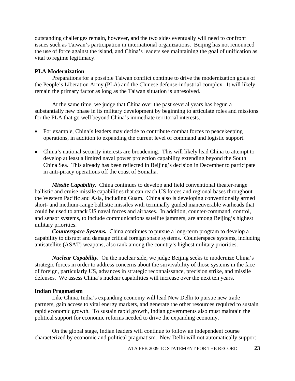outstanding challenges remain, however, and the two sides eventually will need to confront issues such as Taiwan's participation in international organizations. Beijing has not renounced the use of force against the island, and China's leaders see maintaining the goal of unification as vital to regime legitimacy.

#### **PLA Modernization**

Preparations for a possible Taiwan conflict continue to drive the modernization goals of the People's Liberation Army (PLA) and the Chinese defense-industrial complex. It will likely remain the primary factor as long as the Taiwan situation is unresolved.

At the same time, we judge that China over the past several years has begun a substantially new phase in its military development by beginning to articulate roles and missions for the PLA that go well beyond China's immediate territorial interests.

- For example, China's leaders may decide to contribute combat forces to peace keeping operations, in addition to expanding the current level of command and logistic support.
- China's national security interests are broadening. This will likely lead China to attempt to develop at least a limited naval power projection capability extending beyond the South China Sea. This already has been reflected in Beijing's decision in December to participate in anti-piracy operations off the coast of Somalia.

*Missile Capability.* China continues to develop and field conventional theater-range ballistic and cruise missile capabilities that can reach US forces and regional bases throughout the Western Pacific and Asia, including Guam. China also is developing conventionally armed short- and medium-range ballistic missiles with terminally guided maneuverable warheads that could be used to attack US naval forces and airbases. In addition, counter-command, control, and sensor systems, to include communications satellite jammers, are among Beijing's highest military priorities.

*Counterspace Systems.* China continues to pursue a long-term program to develop a capability to disrupt and damage critical foreign space systems. Counterspace systems, including antisatellite (ASAT) weapons, also rank among the country's highest military priorities.

*Nuclear Capability.* On the nuclear side, we judge Beijing seeks to modernize China's strategic forces in order to address concerns about the survivability of those systems in the face of foreign, particularly US, advances in strategic reconnaissance, precision strike, and missile defenses. We assess China's nuclear capabilities will increase over the next ten years.

#### **Indian Pragmatism**

Like China, India's expanding economy will lead New Delhi to pursue new trade partners, gain access to vital energy markets, and generate the other resources required to sustain rapid economic growth. To sustain rapid growth, Indian governments also must maintain the political support for economic reforms needed to drive the expanding economy.

On the global stage, Indian leaders will continue to follow an independent course characterized by economic and political pragmatism. New Delhi will not automatically support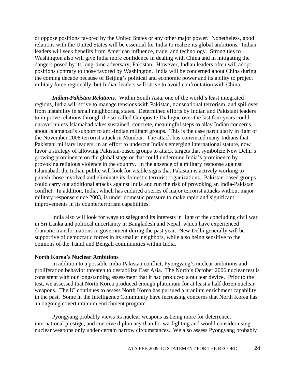or oppose positions favored by the United States or any other major power. Nonetheless, good relations with the United States will be essential for India to realize its global ambitions. Indian leaders will seek benefits from American influence, trade, and technology. Strong ties to Washington also will give India more confidence in dealing with China and in mitigating the dangers posed by its long-time adversary, Pakistan. However, Indian leaders often will adopt positions contrary to those favored by Washington. India will be concerned about China during the coming decade because of Beijing's political and economic power and its ability to project military force regionally, but Indian leaders will strive to avoid confrontation with China.

*Indian-Pakistan Relations.* Within South Asia, one of the world's least integrated regions, India will strive to manage tensions with Pakistan, transnational terrorism, and spillover from instability in small neighboring states. Determined efforts by Indian and Pakistani leaders to improve relations through the so-called Composite Dialogue over the last four years could unravel unless Islamabad takes sustained, concrete, meaningful steps to allay Indian concerns about Islamabad's support to anti-Indian militant groups. This is the case particularly in light of the November 2008 terrorist attack in Mumbai. The attack has convinced many Indians that Pakistani military leaders, in an effort to undercut India's emerging international stature, now favor a strategy of allowing Pakistan-based groups to attack targets that symbolize New Delhi's growing prominence on the global stage or that could undermine India's prominence by provoking religious violence in the country. In the absence of a military response against Islamabad, the Indian public will look for visible signs that Pakistan is actively working to punish those involved and eliminate its domestic terrorist organizations. Pakistan-based groups could carry out additional attacks against India and run the risk of provoking an India-Pakistan conflict. In addition, India, which has endured a series of major terrorist attacks without major military response since 2003, is under domestic pressure to make rapid and significant improvements in its counterterrorism capabilities.

India also will look for ways to safeguard its interests in light of the concluding civil war in Sri Lanka and political uncertainty in Bangladesh and Nepal, which have experienced dramatic transformations in government during the past year. New Delhi generally will be supportive of democratic forces in its smaller neighbors, while also being sensitive to the opinions of the Tamil and Bengali communities within India.

#### **North Korea's Nuclear Ambitions**

In addition to a possible India-Pakistan conflict, Pyongyang's nuclear ambitions and proliferation behavior threaten to destabilize East Asia. The North's October 2006 nuclear test is consistent with our longstanding assessment that it had produced a nuclear device. Prior to the test, we assessed that North Korea produced enough plutonium for at least a half dozen nuclear weapons. The IC continues to assess North Korea has pursued a uranium enrichment capability in the past. Some in the Intelligence Community have increasing concerns that North Korea has an ongoing covert uranium enrichment program.

Pyongyang probably views its nuclear weapons as being more for deterrence, international prestige, and coercive diplomacy than for warfighting and would consider using nuclear weapons only under certain narrow circumstances. We also assess Pyongyang probably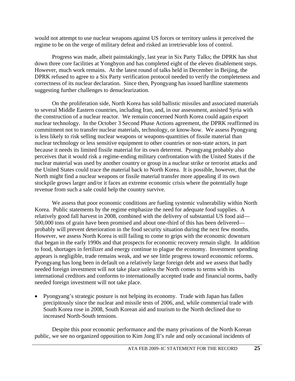would not attempt to use nuclear weapons against US forces or territory unless it perceived the regime to be on the verge of military defeat and risked an irretrievable loss of control.

Progress was made, albeit painstakingly, last year in Six Party Talks; the DPRK has shut down three core facilities at Yongbyon and has completed eight of the eleven disablement steps. However, much work remains. At the latest round of talks held in December in Beijing, the DPRK refused to agree to a Six Party verification protocol needed to verify the completeness and correctness of its nuclear declaration. Since then, Pyongyang has issued hardline statements suggesting further challenges to denuclearization.

On the proliferation side, North Korea has sold ballistic missiles and associated materials to several Middle Eastern countries, including Iran, and, in our assessment, assisted Syria with the construction of a nuclear reactor. We remain concerned North Korea could again export nuclear technology. In the October 3 Second Phase Actions agreement, the DPRK reaffirmed its commitment not to transfer nuclear materials, technology, or know-how. We assess Pyongyang is less likely to risk selling nuclear weapons or weapons-quantities of fissile material than nuclear technology or less sensitive equipment to other countries or non-state actors, in part because it needs its limited fissile material for its own deterrent. Pyongyang probably also perceives that it would risk a regime-ending military confrontation with the United States if the nuclear material was used by another country or group in a nuclear strike or terrorist attacks and the United States could trace the material back to North Korea. It is possible, however, that the North might find a nuclear weapons or fissile material transfer more appealing if its own stockpile grows larger and/or it faces an extreme economic crisis where the potentially huge revenue from such a sale could help the country survive.

We assess that poor economic conditions are fueling systemic vulnerability within North Korea. Public statements by the regime emphasize the need for adequate food supplies. A relatively good fall harvest in 2008, combined with the delivery of substantial US food aid— 500,000 tons of grain have been promised and about one-third of this has been delivered probably will prevent deterioration in the food security situation during the next few months. However, we assess North Korea is still failing to come to grips with the economic downturn that began in the early 1990s and that prospects for economic recovery remain slight. In addition to food, shortages in fertilizer and energy continue to plague the economy. Investment spending appears is negligible, trade remains weak, and we see little progress toward economic reforms. Pyongyang has long been in default on a relatively large foreign debt and we assess that badly needed foreign investment will not take place unless the North comes to terms with its international creditors and conforms to internationally accepted trade and financial norms, badly needed foreign investment will not take place.

• Pyongyang's strategic posture is not helping its economy. Trade with Japan has fallen precipitously since the nuclear and missile tests of 2006, and, while commercial trade with South Korea rose in 2008, South Korean aid and tourism to the North declined due to increased North-South tensions.

Despite this poor economic performance and the many privations of the North Korean public, we see no organized opposition to Kim Jong Il's rule and only occasional incidents of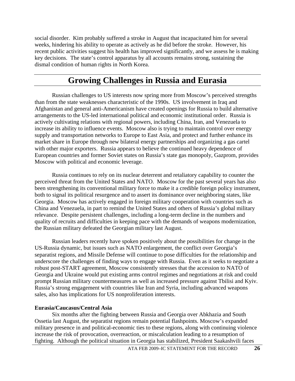social disorder. Kim probably suffered a stroke in August that incapacitated him for several weeks, hindering his ability to operate as actively as he did before the stroke. However, his recent public activities suggest his health has improved significantly, and we assess he is making key decisions. The state's control apparatus by all accounts remains strong, sustaining the dismal condition of human rights in North Korea.

## **Growing Challenges in Russia and Eurasia**

Russian challenges to US interests now spring more from Moscow's perceived strengths than from the state weaknesses characteristic of the 1990s. US involvement in Iraq and Afghanistan and general anti-Americanism have created openings for Russia to build alternative arrangements to the US-led international political and economic institutional order. Russia is actively cultivating relations with regional powers, including China, Iran, and Venezuela to increase its ability to influence events. Moscow also is trying to maintain control over energy supply and transportation networks to Europe to East Asia, and protect and further enhance its market share in Europe through new bilateral energy partnerships and organizing a gas cartel with other major exporters. Russia appears to believe the continued heavy dependence of European countries and former Soviet states on Russia's state gas monopoly, Gazprom, provides Moscow with political and economic leverage.

Russia continues to rely on its nuclear deterrent and retaliatory capability to counter the perceived threat from the United States and NATO. Moscow for the past several years has also been strengthening its conventional military force to make it a credible foreign policy instrument, both to signal its political resurgence and to assert its dominance over neighboring states, like Georgia. Moscow has actively engaged in foreign military cooperation with countries such as China and Venezuela, in part to remind the United States and others of Russia's global military relevance. Despite persistent challenges, including a long-term decline in the numbers and quality of recruits and difficulties in keeping pace with the demands of weapons modernization, the Russian military defeated the Georgian military last August.

Russian leaders recently have spoken positively about the possibilities for change in the US-Russia dynamic, but issues such as NATO enlargement, the conflict over Georgia's separatist regions, and Missile Defense will continue to pose difficulties for the relationship and underscore the challenges of finding ways to engage with Russia. Even as it seeks to negotiate a robust post-START agreement, Moscow consistently stresses that the accession to NATO of Georgia and Ukraine would put existing arms control regimes and negotiations at risk and could prompt Russian military countermeasures as well as increased pressure against Tbilisi and Kyiv. Russia's strong engagement with countries like Iran and Syria, including advanced weapons sales, also has implications for US nonproliferation interests.

#### **Eurasia/Caucasus/Central Asia**

Six months after the fighting between Russia and Georgia over Abkhazia and South Ossetia last August, the separatist regions remain potential flashpoints. Moscow's expanded military presence in and political-economic ties to these regions, along with continuing violence increase the risk of provocation, overreaction, or miscalculation leading to a resumption of fighting. Although the political situation in Georgia has stabilized, President Saakashvili faces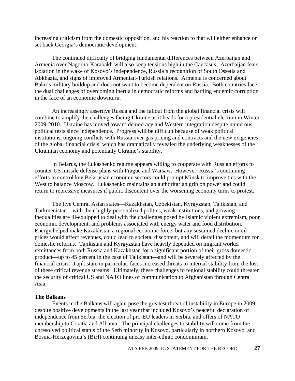increasing criticism from the domestic opposition, and his reaction to that will either enhance or set back Georgia's democratic development.

The continued difficulty of bridging fundamental differences between Azerbaijan and Armenia over Nagorno-Karabakh will also keep tensions high in the Caucasus. Azerbaijan fears isolation in the wake of Kosovo's independence, Russia's recognition of South Ossetia and Abkhazia, and signs of improved Armenian-Turkish relations. Armenia is concerned about Baku's military buildup and does not want to become dependent on Russia. Both countries face the dual challenges of overcoming inertia in democratic reforms and battling endemic corruption in the face of an economic downturn.

An increasingly assertive Russia and the fallout from the global financial crisis will combine to amplify the challenges facing Ukraine as it heads for a presidential election in Winter 2009-2010. Ukraine has moved toward democracy and Western integration despite numerous political tests since independence. Progress will be difficult because of weak political institutions, ongoing conflicts with Russia over gas pricing and contracts and the new exigencies of the global financial crisis, which has dramatically revealed the underlying weaknesses of the Ukrainian economy and potentially Ukraine's stability.

In Belarus, the Lukashenko regime appears willing to cooperate with Russian efforts to counter US missile defense plans with Prague and Warsaw. However, Russia's continuing efforts to control key Belarusian economic sectors could prompt Minsk to improve ties with the West to balance Moscow. Lukashenko maintains an authoritarian grip on power and could return to repressive measures if public discontent over the worsening economy turns to protest.

The five Central Asian states—Kazakhstan, Uzbekistan, Kyrgyzstan, Tajikistan, and Turkmenistan—with their highly-personalized politics, weak institutions, and growing inequalities are ill-equipped to deal with the challenges posed by Islamic violent extremism, poor economic development, and problems associated with energy water and food distribution. Energy helped make Kazakhstan a regional economic force, but any sustained decline in oil prices would affect revenues, could lead to societal discontent, and will derail the momentum for domestic reforms. Tajikistan and Kyrgyzstan have heavily depended on migrant worker remittances from both Russia and Kazakhstan for a significant portion of their gross domestic product—up to 45 percent in the case of Tajikistan—and will be severely affected by the financial crisis. Tajikistan, in particular, faces increased threats to internal stability from the loss of these critical revenue streams. Ultimately, these challenges to regional stability could threaten the security of critical US and NATO lines of communication to Afghanistan through Central Asia.

#### **The Balkans**

Events in the Balkans will again pose the greatest threat of instability in Europe in 2009, despite positive developments in the last year that included Kosovo's peaceful declaration of independence from Serbia, the election of pro-EU leaders in Serbia, and offers of NATO membership to Croatia and Albania. The principal challenges to stability will come from the unresolved political status of the Serb minority in Kosovo, particularly in northern Kosovo, and Bosnia-Herzegovina's (BiH) continuing uneasy inter-ethnic condominium.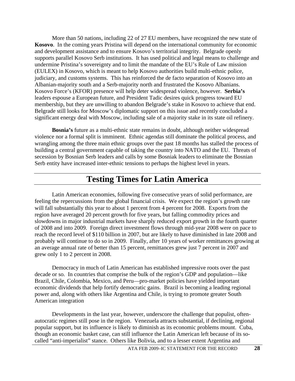More than 50 nations, including 22 of 27 EU members, have recognized the new state of **Kosovo**. In the coming years Pristina will depend on the international community for economic and development assistance and to ensure Kosovo's territorial integrity. Belgrade openly supports parallel Kosovo Serb institutions. It has used political and legal means to challenge and undermine Pristina's sovereignty and to limit the mandate of the EU's Rule of Law mission (EULEX) in Kosovo, which is meant to help Kosovo authorities build multi-ethnic police, judiciary, and customs systems. This has reinforced the de facto separation of Kosovo into an Albanian-majority south and a Serb-majority north and frustrated the Kosovo Albanians. Kosovo Force's (KFOR) presence will help deter widespread violence, however. **Serbia's** leaders espouse a European future, and President Tadic desires quick progress toward EU membership, but they are unwilling to abandon Belgrade's stake in Kosovo to achieve that end. Belgrade still looks for Moscow's diplomatic support on this issue and recently concluded a significant energy deal with Moscow, including sale of a majority stake in its state oil refinery.

**Bosnia's** future as a multi-ethnic state remains in doubt, although neither widespread violence nor a formal split is imminent. Ethnic agendas still dominate the political process, and wrangling among the three main ethnic groups over the past 18 months has stalled the process of building a central government capable of taking the country into NATO and the EU. Threats of secession by Bosnian Serb leaders and calls by some Bosniak leaders to eliminate the Bosnian Serb entity have increased inter-ethnic tensions to perhaps the highest level in years.

### **Testing Times for Latin America**

Latin American economies, following five consecutive years of solid performance, are feeling the repercussions from the global financial crisis. We expect the region's growth rate will fall substantially this year to about 1 percent from 4 percent for 2008. Exports from the region have averaged 20 percent growth for five years, but falling commodity prices and slowdowns in major industrial markets have sharply reduced export growth in the fourth quarter of 2008 and into 2009. Foreign direct investment flows through mid-year 2008 were on pace to reach the record level of \$110 billion in 2007, but are likely to have diminished in late 2008 and probably will continue to do so in 2009. Finally, after 10 years of worker remittances growing at an average annual rate of better than 15 percent, remittances grew just 7 percent in 2007 and grew only 1 to 2 percent in 2008.

Democracy in much of Latin American has established impressive roots over the past decade or so. In countries that comprise the bulk of the region's GDP and population—like Brazil, Chile, Colombia, Mexico, and Peru—pro-market policies have yielded important economic dividends that help fortify democratic gains.Brazil is becoming a leading regional power and, along with others like Argentina and Chile, is trying to promote greater South American integration

Developments in the last year, however, underscore the challenge that populist, oftenautocratic regimes still pose in the region. Venezuela attracts substantial, if declining, regional popular support, but its influence is likely to diminish as its economic problems mount. Cuba, though an economic basket case, can still influence the Latin American left because of its socalled "anti-imperialist" stance. Others like Bolivia, and to a lesser extent Argentina and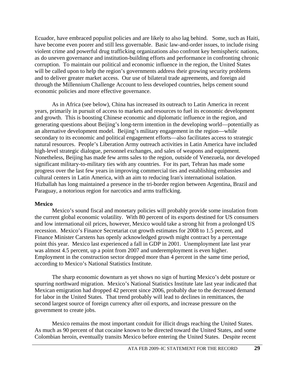Ecuador, have embraced populist policies and are likely to also lag behind. Some, such as Haiti, have become even poorer and still less governable. Basic law-and-order issues, to include rising violent crime and powerful drug trafficking organizations also confront key hemispheric nations, as do uneven governance and institution-building efforts and performance in confronting chronic corruption. To maintain our political and economic influence in the region, the United States will be called upon to help the region's governments address their growing security problems and to deliver greater market access. Our use of bilateral trade agreements, and foreign aid through the Millennium Challenge Account to less developed countries, helps cement sound economic policies and more effective governance.

As in Africa (see below), China has increased its outreach to Latin America in recent years, primarily in pursuit of access to markets and resources to fuel its economic development and growth. This is boosting Chinese economic and diplomatic influence in the region, and generating questions about Beijing's long-term intention in the developing world—potentially as an alternative development model. Beijing's military engagement in the region—while secondary to its economic and political engagement efforts—also facilitates access to strategic natural resources. People's Liberation Army outreach activities in Latin America have included high-level strategic dialogue, personnel exchanges, and sales of weapons and equipment. Nonetheless, Beijing has made few arms sales to the region, outside of Venezuela, nor developed significant military-to-military ties with any countries. For its part, Tehran has made some progress over the last few years in improving commercial ties and establishing embassies and cultural centers in Latin America, with an aim to reducing Iran's international isolation. Hizballah has long maintained a presence in the tri-border region between Argentina, Brazil and Paraguay, a notorious region for narcotics and arms trafficking.

#### **Mexico**

Mexico's sound fiscal and monetary policies will probably provide some insulation from the current global economic volatility. With 80 percent of its exports destined for US consumers and low international oil prices, however, Mexico would take a strong hit from a prolonged US recession. Mexico's Finance Secretariat cut growth estimates for 2008 to 1.5 percent, and Finance Minister Carstens has openly acknowledged growth might contract by a percentage point this year. Mexico last experienced a fall in GDP in 2001. Unemployment late last year was almost 4.5 percent, up a point from 2007 and underemployment is even higher. Employment in the construction sector dropped more than 4 percent in the same time period, according to Mexico's National Statistics Institute.

The sharp economic downturn as yet shows no sign of hurting Mexico's debt posture or spurring northward migration. Mexico's National Statistics Institute late last year indicated that Mexican emigration had dropped 42 percent since 2006, probably due to the decreased demand for labor in the United States. That trend probably will lead to declines in remittances, the second largest source of foreign currency after oil exports, and increase pressure on the government to create jobs.

Mexico remains the most important conduit for illicit drugs reaching the United States. As much as 90 percent of that cocaine known to be directed toward the United States, and some Colombian heroin, eventually transits Mexico before entering the United States. Despite recent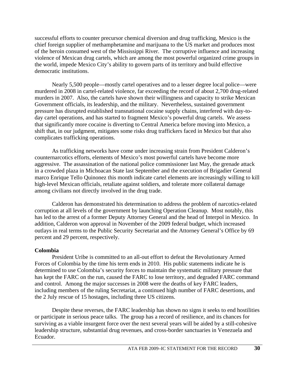successful efforts to counter precursor chemical diversion and drug trafficking, Mexico is the chief foreign supplier of methamphetamine and marijuana to the US market and produces most of the heroin consumed west of the Mississippi River. The corruptive influence and increasing violence of Mexican drug cartels, which are among the most powerful organized crime groups in the world, impede Mexico City's ability to govern parts of its territory and build effective democratic institutions.

Nearly 5,500 people—mostly cartel operatives and to a lesser degree local police—were murdered in 2008 in cartel-related violence, far exceeding the record of about 2,700 drug-related murders in 2007. Also, the cartels have shown their willingness and capacity to strike Mexican Government officials, its leadership, and the military. Nevertheless, sustained government pressure has disrupted established transnational cocaine supply chains, interfered with day-today cartel operations, and has started to fragment Mexico's powerful drug cartels. We assess that significantly more cocaine is diverting to Central America before moving into Mexico, a shift that, in our judgment, mitigates some risks drug traffickers faced in Mexico but that also complicates trafficking operations.

 As trafficking networks have come under increasing strain from President Calderon's counternarcotics efforts, elements of Mexico's most powerful cartels have become more aggressive.The assassination of the national police commissioner last May, the grenade attack in a crowded plaza in Michoacan State last September and the execution of Brigadier General marco Enrique Tello Quinonez this month indicate cartel elements are increasingly willing to kill high-level Mexican officials, retaliate against soldiers, and tolerate more collateral damage among civilians not directly involved in the drug trade.

Calderon has demonstrated his determination to address the problem of narcotics-related corruption at all levels of the government by launching Operation Cleanup. Most notably, this has led to the arrest of a former Deputy Attorney General and the head of Interpol in Mexico. In addition, Calderon won approval in November of the 2009 federal budget, which increased outlays in real terms to the Public Security Secretariat and the Attorney General's Office by 69 percent and 29 percent, respectively.

#### **Colombia**

President Uribe is committed to an all-out effort to defeat the Revolutionary Armed Forces of Colombia by the time his term ends in 2010. His public statements indicate he is determined to use Colombia's security forces to maintain the systematic military pressure that has kept the FARC on the run, caused the FARC to lose territory, and degraded FARC command and control. Among the major successes in 2008 were the deaths of key FARC leaders, including members of the ruling Secretariat, a continued high number of FARC desertions, and the 2 July rescue of 15 hostages, including three US citizens.

Despite these reverses, the FARC leadership has shown no signs it seeks to end hostilities or participate in serious peace talks. The group has a record of resilience, and its chances for surviving as a viable insurgent force over the next several years will be aided by a still-cohesive leadership structure, substantial drug revenues, and cross-border sanctuaries in Venezuela and Ecuador.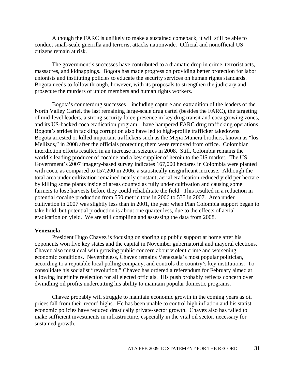Although the FARC is unlikely to make a sustained comeback, it will still be able to conduct small-scale guerrilla and terrorist attacks nationwide. Official and nonofficial US citizens remain at risk.

The government's successes have contributed to a dramatic drop in crime, terrorist acts, massacres, and kidnappings. Bogota has made progress on providing better protection for labor unionists and instituting policies to educate the security services on human rights standards. Bogota needs to follow through, however, with its proposals to strengthen the judiciary and prosecute the murders of union members and human rights workers.

Bogota's counterdrug successes—including capture and extradition of the leaders of the North Valley Cartel, the last remaining large-scale drug cartel (besides the FARC), the targeting of mid-level leaders, a strong security force presence in key drug transit and coca growing zones, and its US-backed coca eradication program—have hampered FARC drug trafficking operations. Bogota's strides in tackling corruption also have led to high-profile trafficker takedowns. Bogota arrested or killed important traffickers such as the Mejia Munera brothers, known as "los Mellizos," in 2008 after the officials protecting them were removed from office. Colombian interdiction efforts resulted in an increase in seizures in 2008. Still, Colombia remains the world's leading producer of cocaine and a key supplier of heroin to the US market. The US Government's 2007 imagery-based survey indicates 167,000 hectares in Colombia were planted with coca, as compared to 157,200 in 2006, a statistically insignificant increase. Although the total area under cultivation remained nearly constant, aerial eradication reduced yield per hectare by killing some plants inside of areas counted as fully under cultivation and causing some farmers to lose harvests before they could rehabilitate the field. This resulted in a reduction in potential cocaine production from 550 metric tons in 2006 to 535 in 2007. Area under cultivation in 2007 was slightly less than in 2001, the year when Plan Colombia support began to take hold, but potential production is about one quarter less, due to the effects of aerial eradication on yield. We are still compiling and assessing the data from 2008.

#### **Venezuela**

President Hugo Chavez is focusing on shoring up public support at home after his opponents won five key states and the capital in November gubernatorial and mayoral elections. Chavez also must deal with growing public concern about violent crime and worsening economic conditions. Nevertheless, Chavez remains Venezuela's most popular politician, according to a reputable local polling company, and controls the country's key institutions. To consolidate his socialist "revolution," Chavez has ordered a referendum for February aimed at allowing indefinite reelection for all elected officials. His push probably reflects concern over dwindling oil profits undercutting his ability to maintain popular domestic programs.

Chavez probably will struggle to maintain economic growth in the coming years as oil prices fall from their record highs. He has been unable to control high inflation and his statist economic policies have reduced drastically private-sector growth. Chavez also has failed to make sufficient investments in infrastructure, especially in the vital oil sector, necessary for sustained growth.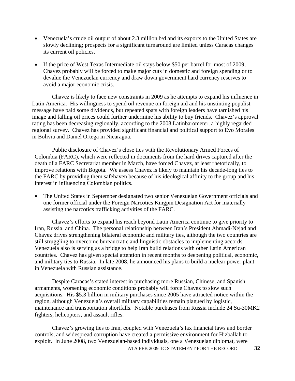- Venezuela's crude oil output of about 2.3 million b/d and its exports to the United States are slowly declining; prospects for a significant turnaround are limited unless Caracas changes its current oil policies.
- If the price of West Texas Intermediate oil stays below \$50 per barrel for most of 2009, Chavez probably will be forced to make major cuts in domestic and foreign spending or to devalue the Venezuelan currency and draw down government hard currency reserves to avoid a major economic crisis.

Chavez is likely to face new constraints in 2009 as he attempts to expand his influence in Latin America. His willingness to spend oil revenue on foreign aid and his unstinting populist message have paid some dividends, but repeated spats with foreign leaders have tarnished his image and falling oil prices could further undermine his ability to buy friends. Chavez's approval rating has been decreasing regionally, according to the 2008 Latinbarometer, a highly regarded regional survey. Chavez has provided significant financial and political support to Evo Morales in Bolivia and Daniel Ortega in Nicaragua.

Public disclosure of Chavez's close ties with the Revolutionary Armed Forces of Colombia (FARC), which were reflected in documents from the hard drives captured after the death of a FARC Secretariat member in March, have forced Chavez, at least rhetorically, to improve relations with Bogota. We assess Chavez is likely to maintain his decade-long ties to the FARC by providing them safehaven because of his ideological affinity to the group and his interest in influencing Colombian politics.

• The United States in September designated two senior Venezuelan Government officials and one former official under the Foreign Narcotics Kingpin Designation Act for materially assisting the narcotics trafficking activities of the FARC.

Chavez's efforts to expand his reach beyond Latin America continue to give priority to Iran, Russia, and China. The personal relationship between Iran's President Ahmadi-Nejad and Chavez drives strengthening bilateral economic and military ties, although the two countries are still struggling to overcome bureaucratic and linguistic obstacles to implementing accords. Venezuela also is serving as a bridge to help Iran build relations with other Latin American countries. Chavez has given special attention in recent months to deepening political, economic, and military ties to Russia. In late 2008, he announced his plans to build a nuclear power plant in Venezuela with Russian assistance.

Despite Caracas's stated interest in purchasing more Russian, Chinese, and Spanish armaments, worsening economic conditions probably will force Chavez to slow such acquisitions. His \$5.3 billion in military purchases since 2005 have attracted notice within the region, although Venezuela's overall military capabilities remain plagued by logistic, maintenance and transportation shortfalls. Notable purchases from Russia include 24 Su-30MK2 fighters, helicopters, and assault rifles.

Chavez's growing ties to Iran, coupled with Venezuela's lax financial laws and border controls, and widespread corruption have created a permissive environment for Hizballah to exploit. In June 2008, two Venezuelan-based individuals, one a Venezuelan diplomat, were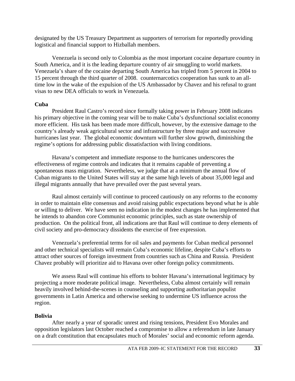designated by the US Treasury Department as supporters of terrorism for reportedly providing logistical and financial support to Hizballah members.

Venezuela is second only to Colombia as the most important cocaine departure country in South America, and it is the leading departure country of air smuggling to world markets. Venezuela's share of the cocaine departing South America has tripled from 5 percent in 2004 to 15 percent through the third quarter of 2008. counternarcotics cooperation has sunk to an alltime low in the wake of the expulsion of the US Ambassador by Chavez and his refusal to grant visas to new DEA officials to work in Venezuela.

#### **Cuba**

President Raul Castro's record since formally taking power in February 2008 indicates his primary objective in the coming year will be to make Cuba's dysfunctional socialist economy more efficient. His task has been made more difficult, however, by the extensive damage to the country's already weak agricultural sector and infrastructure by three major and successive hurricanes last year. The global economic downturn will further slow growth, diminishing the regime's options for addressing public dissatisfaction with living conditions.

Havana's competent and immediate response to the hurricanes underscores the effectiveness of regime controls and indicates that it remains capable of preventing a spontaneous mass migration. Nevertheless, we judge that at a minimum the annual flow of Cuban migrants to the United States will stay at the same high levels of about 35,000 legal and illegal migrants annually that have prevailed over the past several years.

Raul almost certainly will continue to proceed cautiously on any reforms to the economy in order to maintain elite consensus and avoid raising public expectations beyond what he is able or willing to deliver. We have seen no indication in the modest changes he has implemented that he intends to abandon core Communist economic principles, such as state ownership of production. On the political front, all indications are that Raul will continue to deny elements of civil society and pro-democracy dissidents the exercise of free expression.

Venezuela's preferential terms for oil sales and payments for Cuban medical personnel and other technical specialists will remain Cuba's economic lifeline, despite Cuba's efforts to attract other sources of foreign investment from countries such as China and Russia. President Chavez probably will prioritize aid to Havana over other foreign policy commitments.

We assess Raul will continue his efforts to bolster Havana's international legitimacy by projecting a more moderate political image. Nevertheless, Cuba almost certainly will remain heavily involved behind-the-scenes in counseling and supporting authoritarian populist governments in Latin America and otherwise seeking to undermine US influence across the region.

#### **Bolivia**

After nearly a year of sporadic unrest and rising tensions, President Evo Morales and opposition legislators last October reached a compromise to allow a referendum in late January on a draft constitution that encapsulates much of Morales' social and economic reform agenda.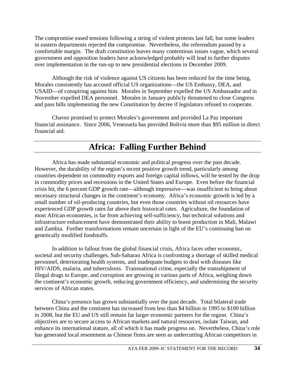The compromise eased tensions following a string of violent protests last fall, but some leaders in eastern departments rejected the compromise. Nevertheless, the referendum passed by a comfortable margin. The draft constitution leaves many contentious issues vague, which several government and opposition leaders have acknowledged probably will lead to further disputes over implementation in the run-up to new presidential elections in December 2009.

Although the risk of violence against US citizens has been reduced for the time being, Morales consistently has accused official US organizations—the US Embassy, DEA, and USAID—of conspiring against him. Morales in September expelled the US Ambassador and in November expelled DEA personnel. Morales in January publicly threatened to close Congress and pass bills implementing the new Constitution by decree if legislators refused to cooperate.

Chavez promised to protect Morales's government and provided La Paz important financial assistance. Since 2006, Venezuela has provided Bolivia more than \$95 million in direct financial aid.

# **Africa: Falling Further Behind**

Africa has made substantial economic and political progress over the past decade. However, the durability of the region's recent positive growth trend, particularly among countries dependent on commodity exports and foreign capital inflows, will be tested by the drop in commodity prices and recessions in the United States and Europe. Even before the financial crisis hit, the 6 percent GDP growth rate—although impressive—was insufficient to bring about necessary structural changes in the continent's economy. Africa's economic growth is led by a small number of oil-producing countries, but even those countries without oil resources have experienced GDP growth rates far above their historical rates. Agriculture, the foundation of most African economies, is far from achieving self-sufficiency, but technical solutions and infrastructure enhancement have demonstrated their ability to boost production in Mali, Malawi and Zambia. Further transformations remain uncertain in light of the EU's continuing ban on genetically modified foodstuffs.

In addition to fallout from the global financial crisis, Africa faces other economic, societal and security challenges. Sub-Saharan Africa is confronting a shortage of skilled medical personnel, deteriorating health systems, and inadequate budgets to deal with diseases like HIV/AIDS, malaria, and tuberculosis. Transnational crime, especially the transshipment of illegal drugs to Europe, and corruption are growing in various parts of Africa, weighing down the continent's economic growth, reducing government efficiency, and undermining the security services of African states.

China's presence has grown substantially over the past decade. Total bilateral trade between China and the continent has increased from less than \$4 billion in 1995 to \$100 billion in 2008, but the EU and US still remain far larger economic partners for the region. China's objectives are to secure access to African markets and natural resources, isolate Taiwan, and enhance its international stature, all of which it has made progress on. Nevertheless, China's role has generated local resentment as Chinese firms are seen as undercutting African competitors in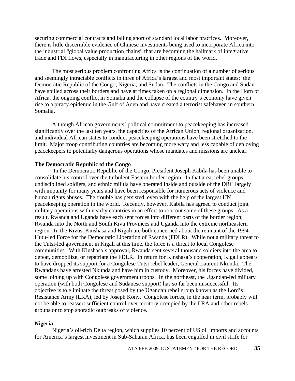securing commercial contracts and falling short of standard local labor practices. Moreover, there is little discernible evidence of Chinese investments being used to incorporate Africa into the industrial "global value production chains" that are becoming the hallmark of integrative trade and FDI flows, especially in manufacturing in other regions of the world.

The most serious problem confronting Africa is the continuation of a number of serious and seemingly intractable conflicts in three of Africa's largest and most important states: the Democratic Republic of the Congo, Nigeria, and Sudan. The conflicts in the Congo and Sudan have spilled across their borders and have at times taken on a regional dimension. In the Horn of Africa, the ongoing conflict in Somalia and the collapse of the country's economy have given rise to a piracy epidemic in the Gulf of Aden and have created a terrorist safehaven in southern Somalia.

Although African governments' political commitment to peacekeeping has increased significantly over the last ten years, the capacities of the African Union, regional organization, and individual African states to conduct peacekeeping operations have been stretched to the limit. Major troop contributing countries are becoming more wary and less capable of deploying peacekeepers to potentially dangerous operations whose mandates and missions are unclear.

#### **The Democratic Republic of the Congo**

 In the Democratic Republic of the Congo, President Joseph Kabila has been unable to consolidate his control over the turbulent Eastern border region. In that area, rebel groups, undisciplined soldiers, and ethnic militia have operated inside and outside of the DRC largely with impunity for many years and have been responsible for numerous acts of violence and human rights abuses. The trouble has persisted, even with the help of the largest UN peacekeeping operation in the world. Recently, however, Kabila has agreed to conduct joint military operations with nearby countries in an effort to root out some of these groups. As a result, Rwanda and Uganda have each sent forces into different parts of the border region, Rwanda into the North and South Kivu Provinces and Uganda into the extreme northeastern region. In the Kivus, Kinshasa and Kigali are both concerned about the remnant of the 1994 Hutu-led Force for the Democratic Liberation of Rwanda (FDLR). While not a military threat to the Tutsi-led government in Kigali at this time, the force is a threat to local Congolese communities. With Kinshasa's approval, Rwanda sent several thousand soldiers into the area to defeat, demobilize, or repatriate the FDLR. In return for Kinshasa's cooperation, Kigali appears to have dropped its support for a Congolese Tutsi rebel leader, General Laurent Nkunda. The Rwandans have arrested Nkunda and have him in custody. Moreover, his forces have divided, some joining up with Congolese government troops. In the northeast, the Ugandan-led military operation (with both Congolese and Sudanese support) has so far been unsuccessful. Its objective is to eliminate the threat posed by the Ugandan rebel group known as the Lord's Resistance Army (LRA), led by Joseph Kony. Congolese forces, in the near term, probably will not be able to reassert sufficient control over territory occupied by the LRA and other rebels groups or to stop sporadic outbreaks of violence.

#### **Nigeria**

Nigeria's oil-rich Delta region, which supplies 10 percent of US oil imports and accounts for America's largest investment in Sub-Saharan Africa, has been engulfed in civil strife for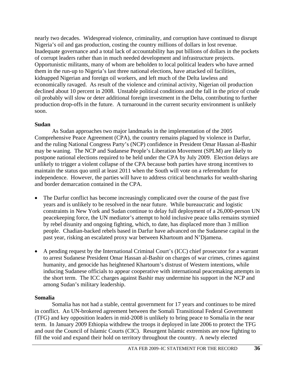nearly two decades. Widespread violence, criminality, and corruption have continued to disrupt Nigeria's oil and gas production, costing the country millions of dollars in lost revenue. Inadequate governance and a total lack of accountability has put billions of dollars in the pockets of corrupt leaders rather than in much needed development and infrastructure projects. Opportunistic militants, many of whom are beholden to local political leaders who have armed them in the run-up to Nigeria's last three national elections, have attacked oil facilities, kidnapped Nigerian and foreign oil workers, and left much of the Delta lawless and economically ravaged. As result of the violence and criminal activity, Nigerian oil production declined about 10 percent in 2008. Unstable political conditions and the fall in the price of crude oil probably will slow or deter additional foreign investment in the Delta, contributing to further production drop-offs in the future. A turnaround in the current security environment is unlikely soon.

#### **Sudan**

As Sudan approaches two major landmarks in the implementation of the 2005 Comprehensive Peace Agreement (CPA), the country remains plagued by violence in Darfur, and the ruling National Congress Party's (NCP) confidence in President Omar Hassan al-Bashir may be waning. The NCP and Sudanese People's Liberation Movement (SPLM) are likely to postpone national elections required to be held under the CPA by July 2009. Election delays are unlikely to trigger a violent collapse of the CPA because both parties have strong incentives to maintain the status quo until at least 2011 when the South will vote on a referendum for independence. However, the parties will have to address critical benchmarks for wealth-sharing and border demarcation contained in the CPA.

- The Darfur conflict has become increasingly complicated over the course of the past five years and is unlikely to be resolved in the near future. While bureaucratic and logistic constraints in New York and Sudan continue to delay full deployment of a 26,000-person UN peacekeeping force, the UN mediator's attempt to hold inclusive peace talks remains stymied by rebel disunity and ongoing fighting, which, to date, has displaced more than 3 million people. Chadian-backed rebels based in Darfur have advanced on the Sudanese capital in the past year, risking an escalated proxy war between Khartoum and N'Djamena.
- A pending request by the International Criminal Court's (ICC) chief prosecutor for a warrant to arrest Sudanese President Omar Hassan al-Bashir on charges of war crimes, crimes against humanity, and genocide has heightened Khartoum's distrust of Western intentions, while inducing Sudanese officials to appear cooperative with international peacemaking attempts in the short term. The ICC charges against Bashir may undermine his support in the NCP and among Sudan's military leadership.

#### **Somalia**

Somalia has not had a stable, central government for 17 years and continues to be mired in conflict. An UN-brokered agreement between the Somali Transitional Federal Government (TFG) and key opposition leaders in mid-2008 is unlikely to bring peace to Somalia in the near term. In January 2009 Ethiopia withdrew the troops it deployed in late 2006 to protect the TFG and oust the Council of Islamic Courts (CIC). Resurgent Islamic extremists are now fighting to fill the void and expand their hold on territory throughout the country. A newly elected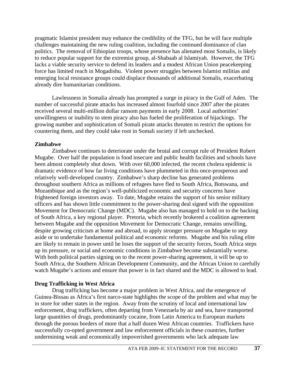pragmatic Islamist president may enhance the credibility of the TFG, but he will face multiple challenges maintaining the new ruling coalition, including the continued dominance of clan politics. The removal of Ethiopian troops, whose presence has alienated most Somalis, is likely to reduce popular support for the extremist group, al-Shabaab al Islamiyah. However, the TFG lacks a viable security service to defend its leaders and a modest African Union peacekeeping force has limited reach in Mogadishu. Violent power struggles between Islamist militias and emerging local resistance groups could displace thousands of additional Somalis, exacerbating already dire humanitarian conditions.

Lawlessness in Somalia already has prompted a surge in piracy in the Gulf of Aden. The number of successful pirate attacks has increased almost fourfold since 2007 after the pirates received several multi-million dollar ransom payments in early 2008. Local authorities' unwillingness or inability to stem piracy also has fueled the proliferation of hijackings. The growing number and sophistication of Somali pirate attacks threaten to restrict the options for countering them, and they could take root in Somali society if left unchecked.

#### **Zimbabwe**

Zimbabwe continues to deteriorate under the brutal and corrupt rule of President Robert Mugabe. Over half the population is food insecure and public health facilities and schools have been almost completely shut down. With over 60,000 infected, the recent cholera epidemic is dramatic evidence of how far living conditions have plummeted in this once-prosperous and relatively well-developed country. Zimbabwe's sharp decline has generated problems throughout southern Africa as millions of refugees have fled to South Africa, Botswana, and Mozambique and as the region's well-publicized economic and security concerns have frightened foreign investors away. To date, Mugabe retains the support of his senior military officers and has shown little commitment to the power-sharing deal signed with the opposition Movement for Democratic Change (MDC). Mugabe also has managed to hold on to the backing of South Africa, a key regional player. Pretoria, which recently brokered a coalition agreement between Mugabe and the opposition Movement for Democratic Change, remains unwilling, despite growing criticism at home and abroad, to apply stronger pressure on Mugabe to step aside or to undertake fundamental political and economic reforms. Mugabe and his ruling elite are likely to remain in power until he loses the support of the security forces, South Africa steps up its pressure, or social and economic conditions in Zimbabwe become substantially worse. With both political parties signing on to the recent power-sharing agreement, it will be up to South Africa, the Southern African Development Community, and the African Union to carefully watch Mugabe's actions and ensure that power is in fact shared and the MDC is allowed to lead.

#### **Drug Trafficking in West Africa**

Drug trafficking has become a major problem in West Africa, and the emergence of Guinea-Bissau as Africa's first narco-state highlights the scope of the problem and what may be in store for other states in the region. Away from the scrutiny of local and international law enforcement, drug traffickers, often departing from Venezuela by air and sea, have transported large quantities of drugs, predominantly cocaine, from Latin America to European markets through the porous borders of more that a half dozen West African countries. Traffickers have successfully co-opted government and law enforcement officials in these countries, further undermining weak and economically impoverished governments who lack adequate law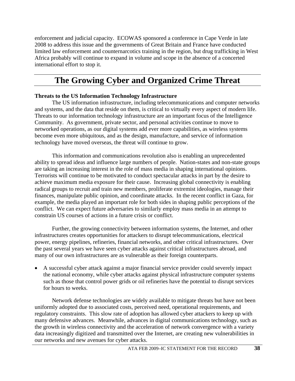enforcement and judicial capacity. ECOWAS sponsored a conference in Cape Verde in late 2008 to address this issue and the governments of Great Britain and France have conducted limited law enforcement and counternarcotics training in the region, but drug trafficking in West Africa probably will continue to expand in volume and scope in the absence of a concerted international effort to stop it.

# **The Growing Cyber and Organized Crime Threat**

#### **Threats to the US Information Technology Infrastructure**

The US information infrastructure, including telecommunications and computer networks and systems, and the data that reside on them, is critical to virtually every aspect of modern life. Threats to our information technology infrastructure are an important focus of the Intelligence Community. As government, private sector, and personal activities continue to move to networked operations, as our digital systems add ever more capabilities, as wireless systems become even more ubiquitous, and as the design, manufacture, and service of information technology have moved overseas, the threat will continue to grow.

This information and communications revolution also is enabling an unprecedented ability to spread ideas and influence large numbers of people. Nation-states and non-state groups are taking an increasing interest in the role of mass media in shaping international opinions. Terrorists will continue to be motivated to conduct spectacular attacks in part by the desire to achieve maximum media exposure for their cause. Increasing global connectivity is enabling radical groups to recruit and train new members, proliferate extremist ideologies, manage their finances, manipulate public opinion, and coordinate attacks. In the recent conflict in Gaza, for example, the media played an important role for both sides in shaping public perceptions of the conflict. We can expect future adversaries to similarly employ mass media in an attempt to constrain US courses of actions in a future crisis or conflict.

Further, the growing connectivity between information systems, the Internet, and other infrastructures creates opportunities for attackers to disrupt telecommunications, electrical power, energy pipelines, refineries, financial networks, and other critical infrastructures. Over the past several years we have seen cyber attacks against critical infrastructures abroad, and many of our own infrastructures are as vulnerable as their foreign counterparts.

• A successful cyber attack against a major financial service provider could severely impact the national economy, while cyber attacks against physical infrastructure computer systems such as those that control power grids or oil refineries have the potential to disrupt services for hours to weeks.

Network defense technologies are widely available to mitigate threats but have not been uniformly adopted due to associated costs, perceived need, operational requirements, and regulatory constraints. This slow rate of adoption has allowed cyber attackers to keep up with many defensive advances. Meanwhile, advances in digital communications technology, such as the growth in wireless connectivity and the acceleration of network convergence with a variety data increasingly digitized and transmitted over the Internet, are creating new vulnerabilities in our networks and new avenues for cyber attacks.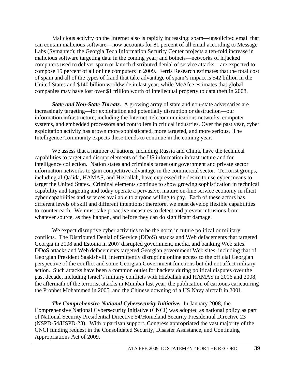Malicious activity on the Internet also is rapidly increasing: spam—unsolicited email that can contain malicious software—now accounts for 81 percent of all email according to Message Labs (Symantec); the Georgia Tech Information Security Center projects a ten-fold increase in malicious software targeting data in the coming year; and botnets—networks of hijacked computers used to deliver spam or launch distributed denial of service attacks—are expected to compose 15 percent of all online computers in 2009. Ferris Research estimates that the total cost of spam and all of the types of fraud that take advantage of spam's impact is \$42 billion in the United States and \$140 billion worldwide in last year, while McAfee estimates that global companies may have lost over \$1 trillion worth of intellectual property to data theft in 2008.

*State and Non-State Threats.* A growing array of state and non-state adversaries are increasingly targeting—for exploitation and potentially disruption or destruction—our information infrastructure, including the Internet, telecommunications networks, computer systems, and embedded processors and controllers in critical industries. Over the past year, cyber exploitation activity has grown more sophisticated, more targeted, and more serious. The Intelligence Community expects these trends to continue in the coming year.

We assess that a number of nations, including Russia and China, have the technical capabilities to target and disrupt elements of the US information infrastructure and for intelligence collection. Nation states and criminals target our government and private sector information networks to gain competitive advantage in the commercial sector. Terrorist groups, including al-Qa'ida, HAMAS, and Hizballah, have expressed the desire to use cyber means to target the United States. Criminal elements continue to show growing sophistication in technical capability and targeting and today operate a pervasive, mature on-line service economy in illicit cyber capabilities and services available to anyone willing to pay. Each of these actors has different levels of skill and different intentions; therefore, we must develop flexible capabilities to counter each. We must take proactive measures to detect and prevent intrusions from whatever source, as they happen, and before they can do significant damage.

We expect disruptive cyber activities to be the norm in future political or military conflicts. The Distributed Denial of Service (DDoS) attacks and Web defacements that targeted Georgia in 2008 and Estonia in 2007 disrupted government, media, and banking Web sites. DDoS attacks and Web defacements targeted Georgian government Web sites, including that of Georgian President Saakishvili, intermittently disrupting online access to the official Georgian perspective of the conflict and some Georgian Government functions but did not affect military action. Such attacks have been a common outlet for hackers during political disputes over the past decade, including Israel's military conflicts with Hizballah and HAMAS in 2006 and 2008, the aftermath of the terrorist attacks in Mumbai last year, the publication of cartoons caricaturing the Prophet Mohammed in 2005, and the Chinese downing of a US Navy aircraft in 2001.

*The Comprehensive National Cybersecurity Initiative.* In January 2008, the Comprehensive National Cybersecurity Initiative (CNCI) was adopted as national policy as part of National Security Presidential Directive 54/Homeland Security Presidential Directive 23 (NSPD-54/HSPD-23). With bipartisan support, Congress appropriated the vast majority of the CNCI funding request in the Consolidated Security, Disaster Assistance, and Continuing Appropriations Act of 2009.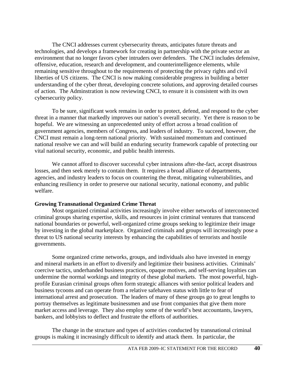The CNCI addresses current cybersecurity threats, anticipates future threats and technologies, and develops a framework for creating in partnership with the private sector an environment that no longer favors cyber intruders over defenders. The CNCI includes defensive, offensive, education, research and development, and counterintelligence elements, while remaining sensitive throughout to the requirements of protecting the privacy rights and civil liberties of US citizens. The CNCI is now making considerable progress in building a better understanding of the cyber threat, developing concrete solutions, and approving detailed courses of action. The Adminstration is now reviewing CNCI, to ensure it is consistent with its own cybersecurity policy.

To be sure, significant work remains in order to protect, defend, and respond to the cyber threat in a manner that markedly improves our nation's overall security. Yet there is reason to be hopeful. We are witnessing an unprecedented unity of effort across a broad coalition of government agencies, members of Congress, and leaders of industry. To succeed, however, the CNCI must remain a long-term national priority. With sustained momentum and continued national resolve we can and will build an enduring security framework capable of protecting our vital national security, economic, and public health interests.

We cannot afford to discover successful cyber intrusions after-the-fact, accept disastrous losses, and then seek merely to contain them. It requires a broad alliance of departments, agencies, and industry leaders to focus on countering the threat, mitigating vulnerabilities, and enhancing resiliency in order to preserve our national security, national economy, and public welfare.

#### **Growing Transnational Organized Crime Threat**

Most organized criminal activities increasingly involve either networks of interconnected criminal groups sharing expertise, skills, and resources in joint criminal ventures that transcend national boundaries or powerful, well-organized crime groups seeking to legitimize their image by investing in the global marketplace. Organized criminals and groups will increasingly pose a threat to US national security interests by enhancing the capabilities of terrorists and hostile governments.

Some organized crime networks, groups, and individuals also have invested in energy and mineral markets in an effort to diversify and legitimize their business activities. Criminals' coercive tactics, underhanded business practices, opaque motives, and self-serving loyalties can undermine the normal workings and integrity of these global markets. The most powerful, highprofile Eurasian criminal groups often form strategic alliances with senior political leaders and business tycoons and can operate from a relative safehaven status with little to fear of international arrest and prosecution. The leaders of many of these groups go to great lengths to portray themselves as legitimate businessmen and use front companies that give them more market access and leverage. They also employ some of the world's best accountants, lawyers, bankers, and lobbyists to deflect and frustrate the efforts of authorities.

The change in the structure and types of activities conducted by transnational criminal groups is making it increasingly difficult to identify and attack them. In particular, the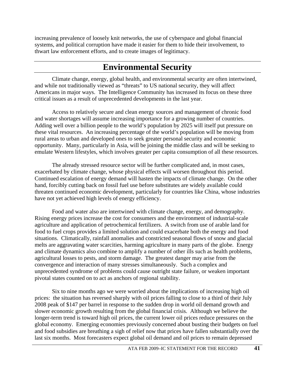increasing prevalence of loosely knit networks, the use of cyberspace and global financial systems, and political corruption have made it easier for them to hide their involvement, to thwart law enforcement efforts, and to create images of legitimacy.

# **Environmental Security**

Climate change, energy, global health, and environmental security are often intertwined, and while not traditionally viewed as "threats" to US national security, they will affect Americans in major ways. The Intelligence Community has increased its focus on these three critical issues as a result of unprecedented developments in the last year.

Access to relatively secure and clean energy sources and management of chronic food and water shortages will assume increasing importance for a growing number of countries. Adding well over a billion people to the world's population by 2025 will itself put pressure on these vital resources. An increasing percentage of the world's population will be moving from rural areas to urban and developed ones to seek greater personal security and economic opportunity. Many, particularly in Asia, will be joining the middle class and will be seeking to emulate Western lifestyles, which involves greater per capita consumption of all these resources.

The already stressed resource sector will be further complicated and, in most cases, exacerbated by climate change, whose physical effects will worsen throughout this period. Continued escalation of energy demand will hasten the impacts of climate change. On the other hand, forcibly cutting back on fossil fuel use before substitutes are widely available could threaten continued economic development, particularly for countries like China, whose industries have not yet achieved high levels of energy efficiency.

Food and water also are intertwined with climate change, energy, and demography. Rising energy prices increase the cost for consumers and the environment of industrial-scale agriculture and application of petrochemical fertilizers. A switch from use of arable land for food to fuel crops provides a limited solution and could exacerbate both the energy and food situations. Climatically, rainfall anomalies and constricted seasonal flows of snow and glacial melts are aggravating water scarcities, harming agriculture in many parts of the globe. Energy and climate dynamics also combine to amplify a number of other ills such as health problems, agricultural losses to pests, and storm damage. The greatest danger may arise from the convergence and interaction of many stresses simultaneously. Such a complex and unprecedented syndrome of problems could cause outright state failure, or weaken important pivotal states counted on to act as anchors of regional stability.

Six to nine months ago we were worried about the implications of increasing high oil prices: the situation has reversed sharply with oil prices falling to close to a third of their July 2008 peak of \$147 per barrel in response to the sudden drop in world oil demand growth and slower economic growth resulting from the global financial crisis. Although we believe the longer-term trend is toward high oil prices, the current lower oil prices reduce pressures on the global economy. Emerging economies previously concerned about busting their budgets on fuel and food subsidies are breathing a sigh of relief now that prices have fallen substantially over the last six months. Most forecasters expect global oil demand and oil prices to remain depressed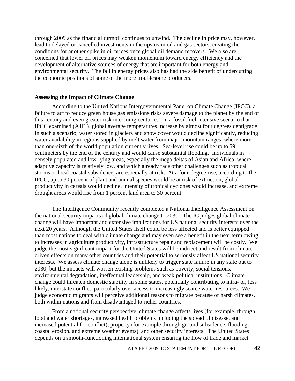through 2009 as the financial turmoil continues to unwind. The decline in price may, however, lead to delayed or cancelled investments in the upstream oil and gas sectors, creating the conditions for another spike in oil prices once global oil demand recovers. We also are concerned that lower oil prices may weaken momentum toward energy efficiency and the development of alternative sources of energy that are important for both energy and environmental security. The fall in energy prices also has had the side benefit of undercutting the economic positions of some of the more troublesome producers.

#### **Assessing the Impact of Climate Change**

According to the United Nations Intergovernmental Panel on Climate Change (IPCC), a failure to act to reduce green house gas emissions risks severe damage to the planet by the end of this century and even greater risk in coming centuries. In a fossil fuel-intensive scenario that IPCC examined (A1FI), global average temperatures increase by almost four degrees centigrade. In such a scenario, water stored in glaciers and snow cover would decline significantly, reducing water availability in regions supplied by melt water from major mountain ranges, where more than one-sixth of the world population currently lives. Sea-level rise could be up to 59 centimeters by the end of the century and would cause substantial flooding. Individuals in densely populated and low-lying areas, especially the mega deltas of Asian and Africa, where adaptive capacity is relatively low, and which already face other challenges such as tropical storms or local coastal subsidence, are especially at risk. At a four-degree rise, according to the IPCC, up to 30 percent of plant and animal species would be at risk of extinction, global productivity in cereals would decline, intensity of tropical cyclones would increase, and extreme drought areas would rise from 1 percent land area to 30 percent.

The Intelligence Community recently completed a National Intelligence Assessment on the national security impacts of global climate change to 2030. The IC judges global climate change will have important and extensive implications for US national security interests over the next 20 years. Although the United States itself could be less affected and is better equipped than most nations to deal with climate change and may even see a benefit in the near term owing to increases in agriculture productivity, infrastructure repair and replacement will be costly. We judge the most significant impact for the United States will be indirect and result from climatedriven effects on many other countries and their potential to seriously affect US national security interests. We assess climate change alone is unlikely to trigger state failure in any state out to 2030, but the impacts will worsen existing problems such as poverty, social tensions, environmental degradation, ineffectual leadership, and weak political institutions. Climate change could threaten domestic stability in some states, potentially contributing to intra- or, less likely, interstate conflict, particularly over access to increasingly scarce water resources. We judge economic migrants will perceive additional reasons to migrate because of harsh climates, both within nations and from disadvantaged to richer countries.

From a national security perspective, climate change affects lives (for example, through food and water shortages, increased health problems including the spread of disease, and increased potential for conflict), property (for example through ground subsidence, flooding, coastal erosion, and extreme weather events), and other security interests. The United States depends on a smooth-functioning international system ensuring the flow of trade and market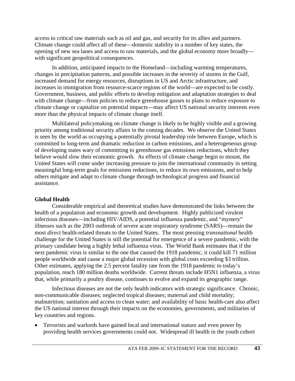access to critical raw materials such as oil and gas, and security for its allies and partners. Climate change could affect all of these—domestic stability in a number of key states, the opening of new sea lanes and access to raw materials, and the global economy more broadly with significant geopolitical consequences.

In addition, anticipated impacts to the Homeland—including warming temperatures, changes in precipitation patterns, and possible increases in the severity of storms in the Gulf, increased demand for energy resources, disruptions in US and Arctic infrastructure, and increases in immigration from resource-scarce regions of the world—are expected to be costly. Government, business, and public efforts to develop mitigation and adaptation strategies to deal with climate change—from policies to reduce greenhouse gasses to plans to reduce exposure to climate change or capitalize on potential impacts—may affect US national security interests even more than the physical impacts of climate change itself.

Multilateral policymaking on climate change is likely to be highly visible and a growing priority among traditional security affairs in the coming decades. We observe the United States is seen by the world as occupying a potentially pivotal leadership role between Europe, which is committed to long-term and dramatic reduction in carbon emissions, and a heterogeneous group of developing states wary of committing to greenhouse gas emissions reductions, which they believe would slow their economic growth. As effects of climate change begin to mount, the United States will come under increasing pressure to join the international community in setting meaningful long-term goals for emissions reductions, to reduce its own emissions, and to help others mitigate and adapt to climate change through technological progress and financial assistance.

#### **Global Health**

Considerable empirical and theoretical studies have demonstrated the links between the health of a population and economic growth and development. Highly publicized virulent infectious diseases—including HIV/AIDS, a potential influenza pandemic, and "mystery" illnesses such as the 2003 outbreak of severe acute respiratory syndrome (SARS)—remain the most *direct* health-related threats to the United States. The most pressing *transnational* health challenge for the United States is still the potential for emergence of a severe pandemic, with the primary candidate being a highly lethal influenza virus. The World Bank estimates that if the next pandemic virus is similar to the one that caused the 1918 pandemic, it could kill 71 million people worldwide and cause a major global recession with global costs exceeding \$3 trillion. Other estimates, applying the 2.5 percent fatality rate from the 1918 pandemic to today's population, reach 180 million deaths worldwide. Current threats include H5N1 influenza, a virus that, while primarily a poultry disease, continues to evolve and expand its geographic range.

Infectious diseases are not the only health indicators with strategic significance. Chronic, non-communicable diseases; neglected tropical diseases; maternal and child mortality; malnutrition; sanitation and access to clean water; and availability of basic health-care also affect the US national interest through their impacts on the economies, governments, and militaries of key countries and regions.

• Terrorists and warlords have gained local and international stature and even power by providing health services governments could not. Widespread ill health in the youth cohort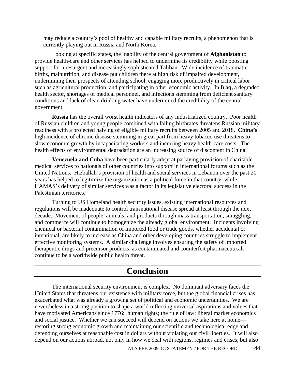may reduce a country's pool of healthy and capable military recruits, a phenomenon that is currently playing out in Russia and North Korea.

Looking at specific states, the inability of the central government of **Afghanistan** to provide health-care and other services has helped to undermine its credibility while boosting support for a resurgent and increasingly sophisticated Taliban. Wide incidence of traumatic births, malnutrition, and disease put children there at high risk of impaired development, undermining their prospects of attending school, engaging more productively in critical labor such as agricultural production, and participating in other economic activity. In **Iraq,** a degraded health sector, shortages of medical personnel, and infections stemming from deficient sanitary conditions and lack of clean drinking water have undermined the credibility of the central government.

**Russia** has the overall worst health indicators of any industrialized country. Poor health of Russian children and young people combined with falling birthrates threatens Russian military readiness with a projected halving of eligible military recruits between 2005 and 2018. **China's** high incidence of chronic disease stemming in great part from heavy tobacco use threatens to slow economic growth by incapacitating workers and incurring heavy health-care costs. The health effects of environmental degradation are an increasing source of discontent in China.

**Venezuela and Cuba** have been particularly adept at parlaying provision of charitable medical services to nationals of other countries into support in international forums such as the United Nations. Hizballah's provision of health and social services in Lebanon over the past 20 years has helped to legitimize the organization as a political force in that country, while HAMAS's delivery of similar services was a factor in its legislative electoral success in the Palestinian territories.

Turning to US Homeland health security issues, existing international resources and regulations will be inadequate to control transnational disease spread at least through the next decade. Movement of people, animals, and products through mass transportation, smuggling, and commerce will continue to homogenize the already global environment. Incidents involving chemical or bacterial contamination of imported food or trade goods, whether accidental or intentional, are likely to increase as China and other developing countries struggle to implement effective monitoring systems. A similar challenge involves ensuring the safety of imported therapeutic drugs and precursor products, as contaminated and counterfeit pharmaceuticals continue to be a worldwide public health threat.

## **Conclusion**

The international security environment is complex. No dominant adversary faces the United States that threatens our existence with military force, but the global financial crises has exacerbated what was already a growing set of political and economic uncertainties. We are nevertheless in a strong position to shape a world reflecting universal aspirations and values that have motivated Americans since 1776: human rights; the rule of law; liberal market economics and social justice. Whether we can succeed will depend on actions we take here at home restoring strong economic growth and maintaining our scientific and technological edge and defending ourselves at reasonable cost in dollars without violating our civil liberties. It will also depend on our actions abroad, not only in how we deal with regions, regimes and crises, but also